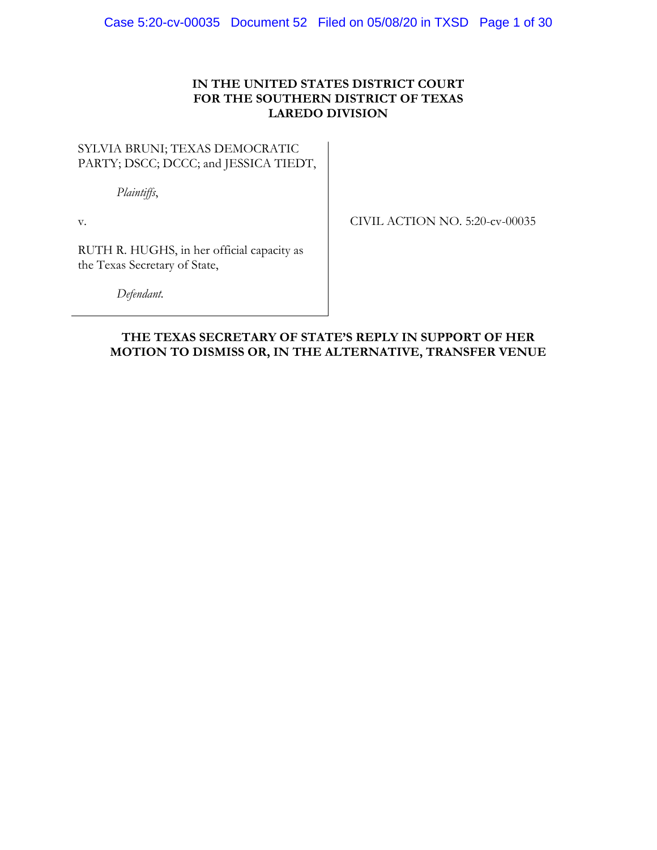#### **IN THE UNITED STATES DISTRICT COURT FOR THE SOUTHERN DISTRICT OF TEXAS LAREDO DIVISION**

#### SYLVIA BRUNI; TEXAS DEMOCRATIC PARTY; DSCC; DCCC; and JESSICA TIEDT,

*Plaintiffs*,

v.

CIVIL ACTION NO. 5:20-cv-00035

RUTH R. HUGHS, in her official capacity as the Texas Secretary of State,

*Defendant.* 

# **THE TEXAS SECRETARY OF STATE'S REPLY IN SUPPORT OF HER MOTION TO DISMISS OR, IN THE ALTERNATIVE, TRANSFER VENUE**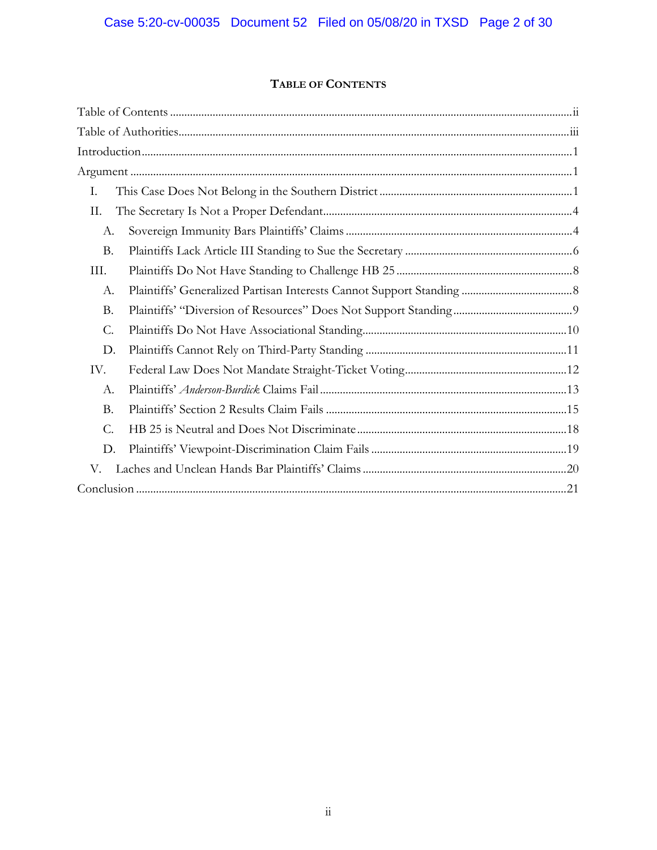# **TABLE OF CONTENTS**

| Ι.        |  |
|-----------|--|
| II.       |  |
| А.        |  |
| <b>B.</b> |  |
| III.      |  |
| А.        |  |
| <b>B.</b> |  |
| C.        |  |
| D.        |  |
| IV.       |  |
| А.        |  |
| <b>B.</b> |  |
| C.        |  |
| D.        |  |
| V.        |  |
|           |  |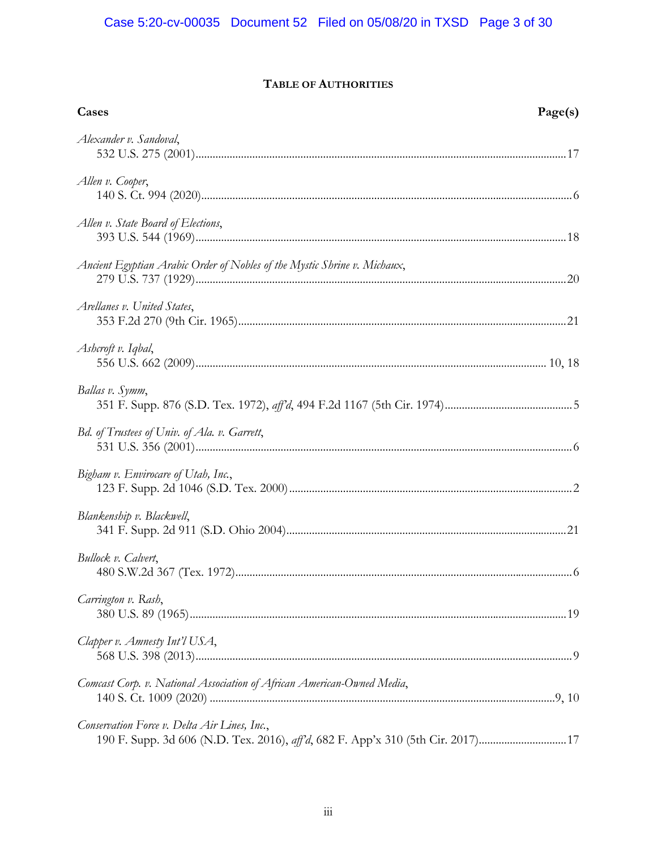# **TABLE OF AUTHORITIES**

| Cases                                                                                                                           | Page(s) |
|---------------------------------------------------------------------------------------------------------------------------------|---------|
| Alexander v. Sandoval,                                                                                                          |         |
| Allen v. Cooper,                                                                                                                |         |
| Allen v. State Board of Elections,                                                                                              |         |
| Ancient Egyptian Arabic Order of Nobles of the Mystic Shrine v. Michaux,                                                        |         |
| Arellanes v. United States,                                                                                                     |         |
| Ashcroft v. Iqbal,                                                                                                              |         |
| Ballas v. Symm,                                                                                                                 |         |
| Bd. of Trustees of Univ. of Ala. v. Garrett,                                                                                    |         |
| Bigham v. Envirocare of Utah, Inc.,                                                                                             |         |
| Blankenship v. Blackwell,                                                                                                       |         |
| Bullock v. Calvert,                                                                                                             |         |
| Carrington v. Rash,                                                                                                             |         |
| Clapper v. Amnesty Int'l USA,                                                                                                   |         |
| Comcast Corp. v. National Association of African American-Owned Media,                                                          |         |
| Conservation Force v. Delta Air Lines, Inc.,<br>190 F. Supp. 3d 606 (N.D. Tex. 2016), aff'd, 682 F. App'x 310 (5th Cir. 2017)17 |         |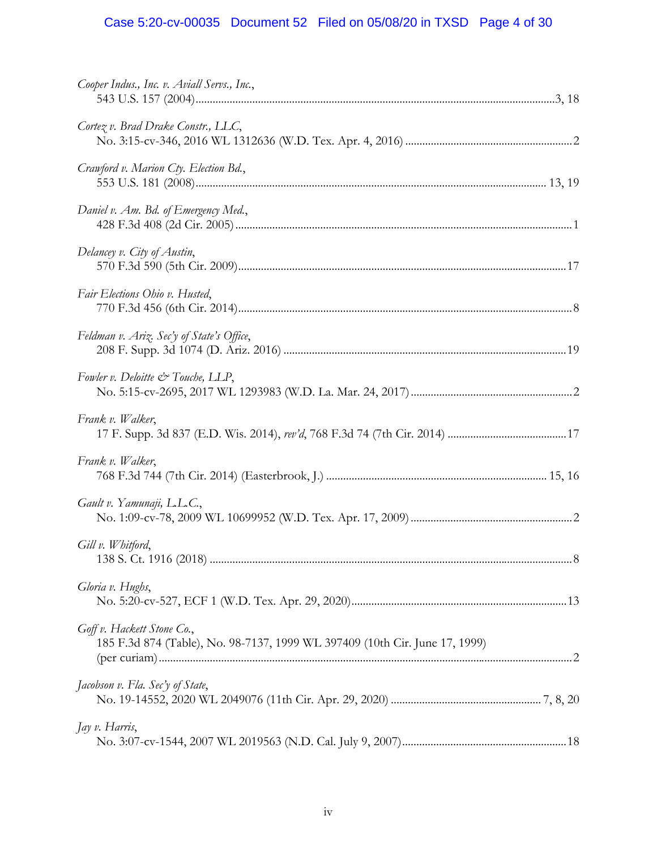# Case 5:20-cv-00035 Document 52 Filed on 05/08/20 in TXSD Page 4 of 30

| Cooper Indus., Inc. v. Aviall Servs., Inc.,                                                               |  |
|-----------------------------------------------------------------------------------------------------------|--|
| Cortez v. Brad Drake Constr., LLC,                                                                        |  |
| Crawford v. Marion Cty. Election Bd.,                                                                     |  |
| Daniel v. Am. Bd. of Emergency Med.,                                                                      |  |
| Delancey v. City of Austin,                                                                               |  |
| Fair Elections Ohio v. Husted,                                                                            |  |
| Feldman v. Ariz. Sec'y of State's Office,                                                                 |  |
| Fowler v. Deloitte & Touche, LLP,                                                                         |  |
| Frank v. Walker,                                                                                          |  |
| Frank v. Walker,                                                                                          |  |
| Gault v. Yamunaji, L.L.C.,                                                                                |  |
| Gill v. Whitford,                                                                                         |  |
| Gloria v. Hughs,                                                                                          |  |
| Goff v. Hackett Stone Co.,<br>185 F.3d 874 (Table), No. 98-7137, 1999 WL 397409 (10th Cir. June 17, 1999) |  |
| Jacobson v. Fla. Sec'y of State,                                                                          |  |
| Jay v. Harris,                                                                                            |  |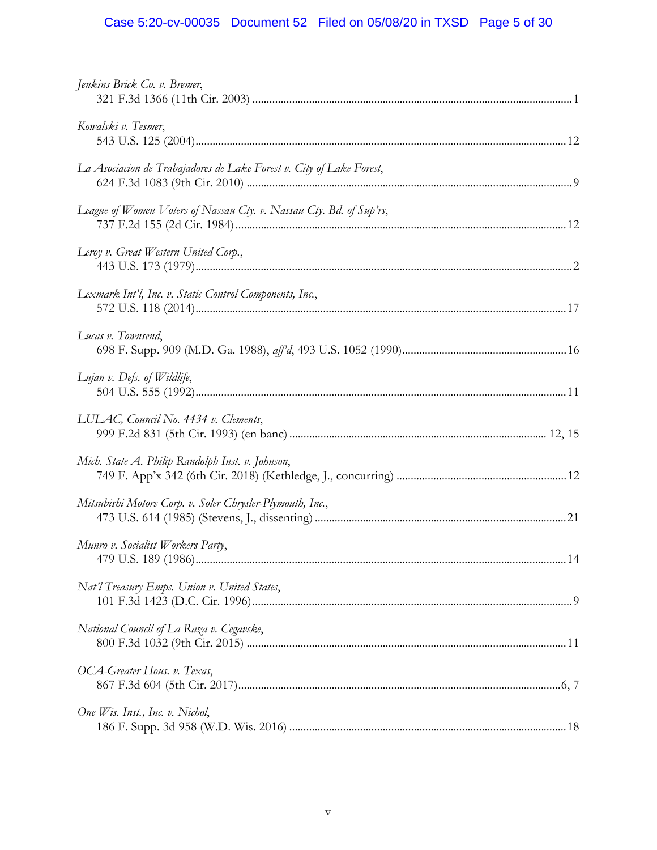# Case 5:20-cv-00035 Document 52 Filed on 05/08/20 in TXSD Page 5 of 30

| Jenkins Brick Co. v. Bremer,                                         |     |
|----------------------------------------------------------------------|-----|
| Kowalski v. Tesmer,                                                  |     |
| La Asociacion de Trabajadores de Lake Forest v. City of Lake Forest, |     |
| League of Women Voters of Nassau Cty. v. Nassau Cty. Bd. of Sup'rs,  |     |
| Leroy v. Great Western United Corp.,                                 |     |
| Lexmark Int'l, Inc. v. Static Control Components, Inc.,              |     |
| Lucas v. Townsend,                                                   |     |
| Lujan v. Defs. of Wildlife,                                          |     |
| LULAC, Council No. 4434 v. Clements,                                 |     |
| Mich. State A. Philip Randolph Inst. v. Johnson,                     |     |
| Mitsubishi Motors Corp. v. Soler Chrysler-Plymouth, Inc.,            |     |
| Munro v. Socialist Workers Party,                                    | .14 |
| Nat'l Treasury Emps. Union v. United States,                         |     |
| National Council of La Raza v. Cegavske,                             |     |
| OCA-Greater Hous. v. Texas,                                          |     |
| One Wis. Inst., Inc. v. Nichol,                                      |     |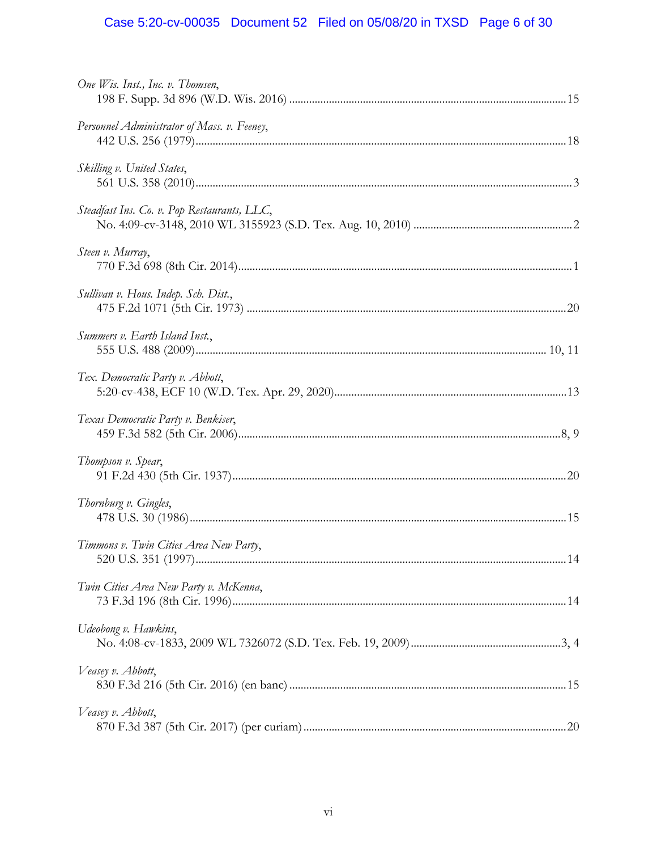# Case 5:20-cv-00035 Document 52 Filed on 05/08/20 in TXSD Page 6 of 30

| One Wis. Inst., Inc. v. Thomsen,            |     |
|---------------------------------------------|-----|
| Personnel Administrator of Mass. v. Feeney, |     |
| Skilling v. United States,                  |     |
| Steadfast Ins. Co. v. Pop Restaurants, LLC, |     |
| Steen v. Murray,                            |     |
| Sullivan v. Hous. Indep. Sch. Dist.,        |     |
| Summers v. Earth Island Inst.,              |     |
| Tex. Democratic Party v. Abbott,            |     |
| Texas Democratic Party v. Benkiser,         |     |
| Thompson v. Spear,                          |     |
| Thornburg v. Gingles,                       |     |
| Timmons v. Twin Cities Area New Party,      | .14 |
| Twin Cities Area New Party v. McKenna,      |     |
| Udeobong v. Hawkins,                        |     |
| Veasey v. Abbott,                           |     |
| Veasey v. Abbott,                           |     |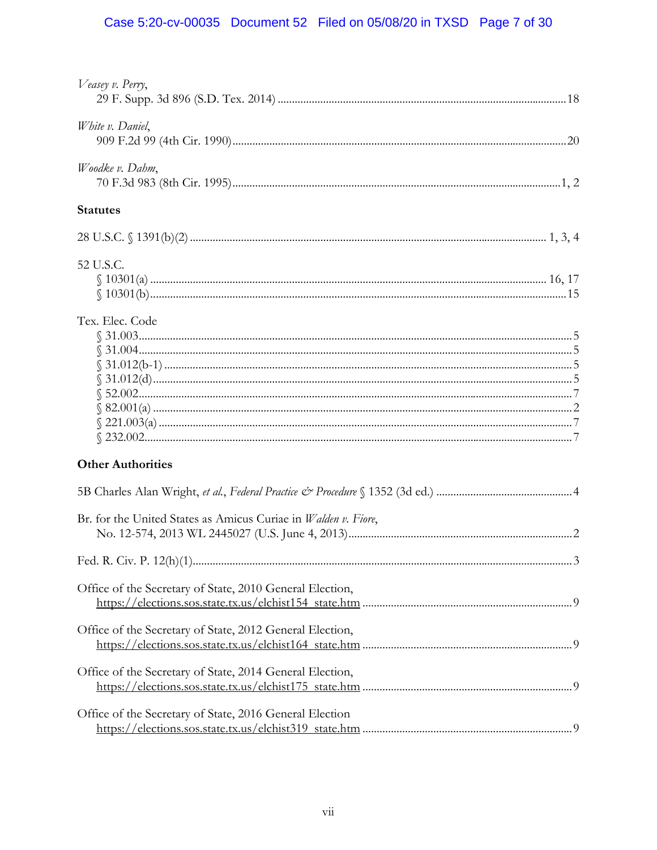# Case 5:20-cv-00035 Document 52 Filed on 05/08/20 in TXSD Page 7 of 30

| Veasey v. Perry,                                               |  |
|----------------------------------------------------------------|--|
| White v. Daniel,                                               |  |
| Woodke v. Dahm,                                                |  |
| <b>Statutes</b>                                                |  |
|                                                                |  |
| 52 U.S.C.                                                      |  |
| Tex. Elec. Code                                                |  |
| <b>Other Authorities</b>                                       |  |
|                                                                |  |
| Br. for the United States as Amicus Curiae in Walden v. Fiore, |  |
|                                                                |  |
| Office of the Secretary of State, 2010 General Election,       |  |
| Office of the Secretary of State, 2012 General Election,       |  |
| Office of the Secretary of State, 2014 General Election,       |  |
| Office of the Secretary of State, 2016 General Election        |  |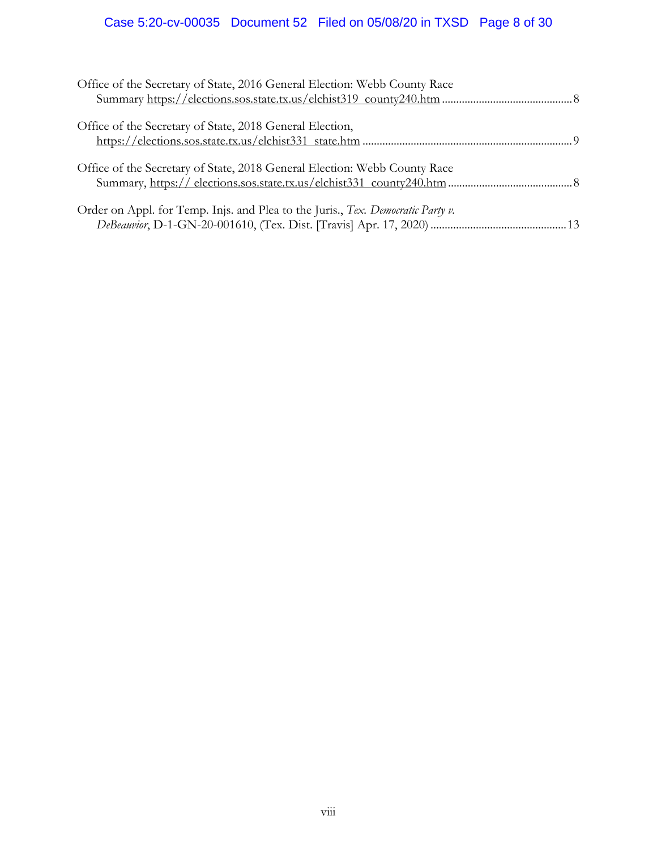# Case 5:20-cv-00035 Document 52 Filed on 05/08/20 in TXSD Page 8 of 30

| Office of the Secretary of State, 2016 General Election: Webb County Race       |  |
|---------------------------------------------------------------------------------|--|
| Office of the Secretary of State, 2018 General Election,                        |  |
| Office of the Secretary of State, 2018 General Election: Webb County Race       |  |
| Order on Appl. for Temp. Injs. and Plea to the Juris., Tex. Democratic Party v. |  |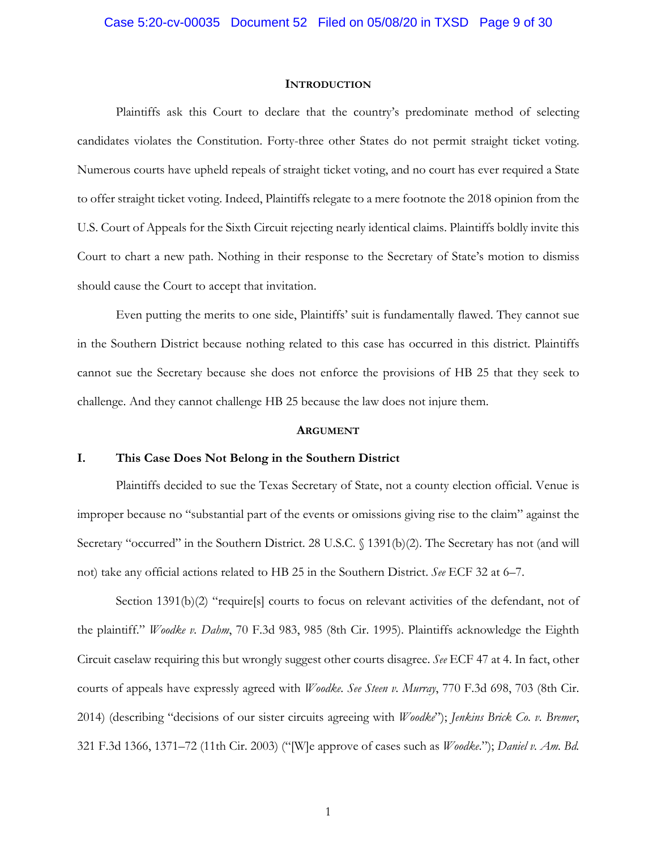#### **INTRODUCTION**

Plaintiffs ask this Court to declare that the country's predominate method of selecting candidates violates the Constitution. Forty-three other States do not permit straight ticket voting. Numerous courts have upheld repeals of straight ticket voting, and no court has ever required a State to offer straight ticket voting. Indeed, Plaintiffs relegate to a mere footnote the 2018 opinion from the U.S. Court of Appeals for the Sixth Circuit rejecting nearly identical claims. Plaintiffs boldly invite this Court to chart a new path. Nothing in their response to the Secretary of State's motion to dismiss should cause the Court to accept that invitation.

Even putting the merits to one side, Plaintiffs' suit is fundamentally flawed. They cannot sue in the Southern District because nothing related to this case has occurred in this district. Plaintiffs cannot sue the Secretary because she does not enforce the provisions of HB 25 that they seek to challenge. And they cannot challenge HB 25 because the law does not injure them.

#### **ARGUMENT**

#### **I. This Case Does Not Belong in the Southern District**

Plaintiffs decided to sue the Texas Secretary of State, not a county election official. Venue is improper because no "substantial part of the events or omissions giving rise to the claim" against the Secretary "occurred" in the Southern District. 28 U.S.C. § 1391(b)(2). The Secretary has not (and will not) take any official actions related to HB 25 in the Southern District. *See* ECF 32 at 6–7.

Section 1391(b)(2) "require[s] courts to focus on relevant activities of the defendant, not of the plaintiff." *Woodke v. Dahm*, 70 F.3d 983, 985 (8th Cir. 1995). Plaintiffs acknowledge the Eighth Circuit caselaw requiring this but wrongly suggest other courts disagree. *See* ECF 47 at 4. In fact, other courts of appeals have expressly agreed with *Woodke*. *See Steen v. Murray*, 770 F.3d 698, 703 (8th Cir. 2014) (describing "decisions of our sister circuits agreeing with *Woodke*"); *Jenkins Brick Co. v. Bremer*, 321 F.3d 1366, 1371–72 (11th Cir. 2003) ("[W]e approve of cases such as *Woodke*."); *Daniel v. Am. Bd.*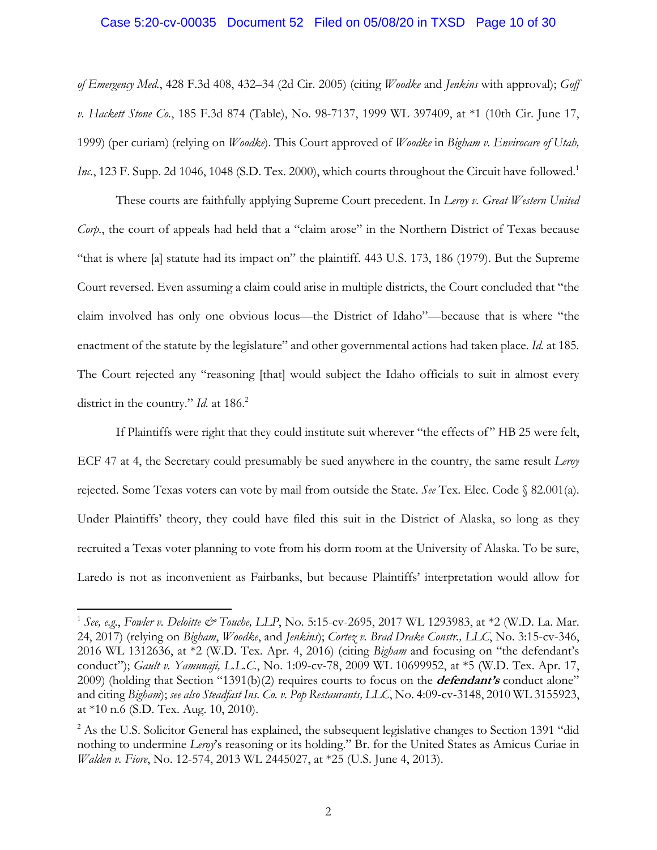#### Case 5:20-cv-00035 Document 52 Filed on 05/08/20 in TXSD Page 10 of 30

*of Emergency Med.*, 428 F.3d 408, 432–34 (2d Cir. 2005) (citing *Woodke* and *Jenkins* with approval); *Goff v. Hackett Stone Co.*, 185 F.3d 874 (Table), No. 98-7137, 1999 WL 397409, at \*1 (10th Cir. June 17, 1999) (per curiam) (relying on *Woodke*). This Court approved of *Woodke* in *Bigham v. Envirocare of Utah, Inc.*, 123 F. Supp. 2d 1046, 1048 (S.D. Tex. 2000), which courts throughout the Circuit have followed.<sup>1</sup>

These courts are faithfully applying Supreme Court precedent. In *Leroy v. Great Western United Corp.*, the court of appeals had held that a "claim arose" in the Northern District of Texas because "that is where [a] statute had its impact on" the plaintiff. 443 U.S. 173, 186 (1979). But the Supreme Court reversed. Even assuming a claim could arise in multiple districts, the Court concluded that "the claim involved has only one obvious locus—the District of Idaho"—because that is where "the enactment of the statute by the legislature" and other governmental actions had taken place. *Id.* at 185. The Court rejected any "reasoning [that] would subject the Idaho officials to suit in almost every district in the country." *Id.* at 186.<sup>2</sup>

If Plaintiffs were right that they could institute suit wherever "the effects of" HB 25 were felt, ECF 47 at 4, the Secretary could presumably be sued anywhere in the country, the same result *Leroy* rejected. Some Texas voters can vote by mail from outside the State. *See* Tex. Elec. Code § 82.001(a). Under Plaintiffs' theory, they could have filed this suit in the District of Alaska, so long as they recruited a Texas voter planning to vote from his dorm room at the University of Alaska. To be sure, Laredo is not as inconvenient as Fairbanks, but because Plaintiffs' interpretation would allow for

1

<sup>&</sup>lt;sup>1</sup> See, e.g., *Fowler v. Deloitte & Touche, LLP*, No. 5:15-cv-2695, 2017 WL 1293983, at \*2 (W.D. La. Mar. 24, 2017) (relying on *Bigham*, *Woodke*, and *Jenkins*); *Cortez v. Brad Drake Constr., LLC*, No. 3:15-cv-346, 2016 WL 1312636, at \*2 (W.D. Tex. Apr. 4, 2016) (citing *Bigham* and focusing on "the defendant's conduct"); *Gault v. Yamunaji, L.L.C.*, No. 1:09-cv-78, 2009 WL 10699952, at \*5 (W.D. Tex. Apr. 17, 2009) (holding that Section "1391(b)(2) requires courts to focus on the **defendant's** conduct alone" and citing *Bigham*); *see also Steadfast Ins. Co. v. Pop Restaurants, LLC*, No. 4:09-cv-3148, 2010 WL 3155923, at \*10 n.6 (S.D. Tex. Aug. 10, 2010).

<sup>&</sup>lt;sup>2</sup> As the U.S. Solicitor General has explained, the subsequent legislative changes to Section 1391 "did nothing to undermine *Leroy*'s reasoning or its holding." Br. for the United States as Amicus Curiae in *Walden v. Fiore*, No. 12-574, 2013 WL 2445027, at \*25 (U.S. June 4, 2013).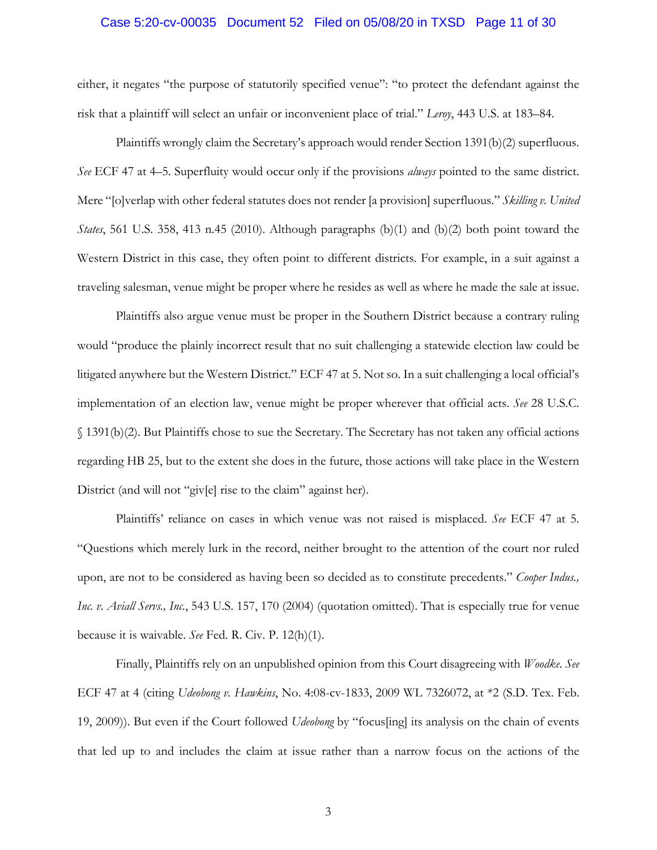#### Case 5:20-cv-00035 Document 52 Filed on 05/08/20 in TXSD Page 11 of 30

either, it negates "the purpose of statutorily specified venue": "to protect the defendant against the risk that a plaintiff will select an unfair or inconvenient place of trial." *Leroy*, 443 U.S. at 183–84.

Plaintiffs wrongly claim the Secretary's approach would render Section 1391(b)(2) superfluous. *See* ECF 47 at 4–5. Superfluity would occur only if the provisions *always* pointed to the same district. Mere "[o]verlap with other federal statutes does not render [a provision] superfluous." *Skilling v. United States*, 561 U.S. 358, 413 n.45 (2010). Although paragraphs (b)(1) and (b)(2) both point toward the Western District in this case, they often point to different districts. For example, in a suit against a traveling salesman, venue might be proper where he resides as well as where he made the sale at issue.

Plaintiffs also argue venue must be proper in the Southern District because a contrary ruling would "produce the plainly incorrect result that no suit challenging a statewide election law could be litigated anywhere but the Western District." ECF 47 at 5. Not so. In a suit challenging a local official's implementation of an election law, venue might be proper wherever that official acts. *See* 28 U.S.C. § 1391(b)(2). But Plaintiffs chose to sue the Secretary. The Secretary has not taken any official actions regarding HB 25, but to the extent she does in the future, those actions will take place in the Western District (and will not "giv[e] rise to the claim" against her).

Plaintiffs' reliance on cases in which venue was not raised is misplaced. *See* ECF 47 at 5. "Questions which merely lurk in the record, neither brought to the attention of the court nor ruled upon, are not to be considered as having been so decided as to constitute precedents." *Cooper Indus., Inc. v. Aviall Servs., Inc.*, 543 U.S. 157, 170 (2004) (quotation omitted). That is especially true for venue because it is waivable. *See* Fed. R. Civ. P. 12(h)(1).

Finally, Plaintiffs rely on an unpublished opinion from this Court disagreeing with *Woodke*. *See* ECF 47 at 4 (citing *Udeobong v. Hawkins*, No. 4:08-cv-1833, 2009 WL 7326072, at \*2 (S.D. Tex. Feb. 19, 2009)). But even if the Court followed *Udeobong* by "focus[ing] its analysis on the chain of events that led up to and includes the claim at issue rather than a narrow focus on the actions of the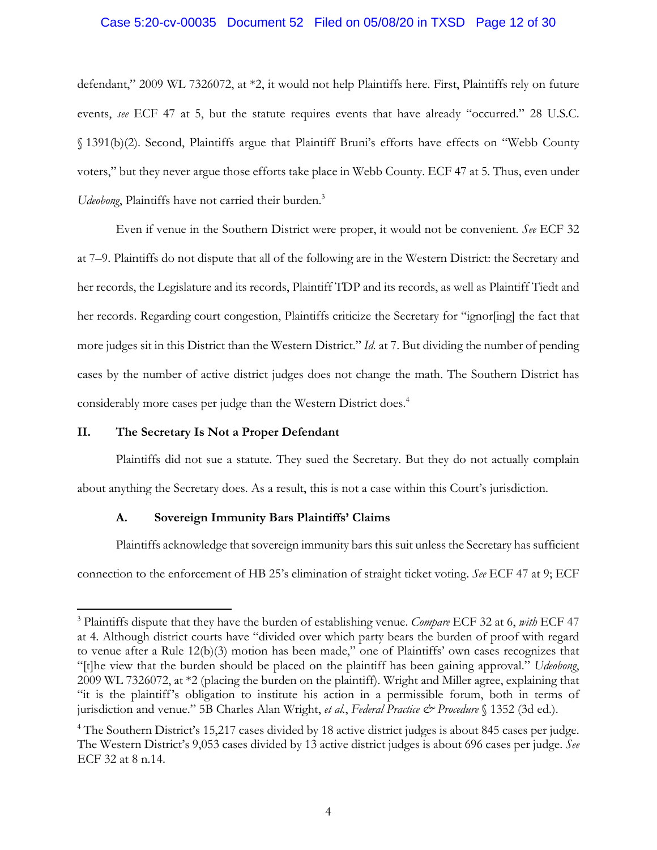#### Case 5:20-cv-00035 Document 52 Filed on 05/08/20 in TXSD Page 12 of 30

defendant," 2009 WL 7326072, at \*2, it would not help Plaintiffs here. First, Plaintiffs rely on future events, *see* ECF 47 at 5, but the statute requires events that have already "occurred." 28 U.S.C. § 1391(b)(2). Second, Plaintiffs argue that Plaintiff Bruni's efforts have effects on "Webb County voters," but they never argue those efforts take place in Webb County. ECF 47 at 5. Thus, even under Udeobong, Plaintiffs have not carried their burden.<sup>3</sup>

Even if venue in the Southern District were proper, it would not be convenient. *See* ECF 32 at 7–9. Plaintiffs do not dispute that all of the following are in the Western District: the Secretary and her records, the Legislature and its records, Plaintiff TDP and its records, as well as Plaintiff Tiedt and her records. Regarding court congestion, Plaintiffs criticize the Secretary for "ignor[ing] the fact that more judges sit in this District than the Western District." *Id.* at 7. But dividing the number of pending cases by the number of active district judges does not change the math. The Southern District has considerably more cases per judge than the Western District does.4

#### **II. The Secretary Is Not a Proper Defendant**

 $\overline{a}$ 

Plaintiffs did not sue a statute. They sued the Secretary. But they do not actually complain about anything the Secretary does. As a result, this is not a case within this Court's jurisdiction.

#### **A. Sovereign Immunity Bars Plaintiffs' Claims**

Plaintiffs acknowledge that sovereign immunity bars this suit unless the Secretary has sufficient connection to the enforcement of HB 25's elimination of straight ticket voting. *See* ECF 47 at 9; ECF

<sup>3</sup> Plaintiffs dispute that they have the burden of establishing venue. *Compare* ECF 32 at 6, *with* ECF 47 at 4. Although district courts have "divided over which party bears the burden of proof with regard to venue after a Rule 12(b)(3) motion has been made," one of Plaintiffs' own cases recognizes that "[t]he view that the burden should be placed on the plaintiff has been gaining approval." *Udeobong*, 2009 WL 7326072, at \*2 (placing the burden on the plaintiff). Wright and Miller agree, explaining that "it is the plaintiff's obligation to institute his action in a permissible forum, both in terms of jurisdiction and venue." 5B Charles Alan Wright, *et al.*, *Federal Practice & Procedure* § 1352 (3d ed.).

<sup>&</sup>lt;sup>4</sup> The Southern District's 15,217 cases divided by 18 active district judges is about 845 cases per judge. The Western District's 9,053 cases divided by 13 active district judges is about 696 cases per judge. *See* ECF 32 at 8 n.14.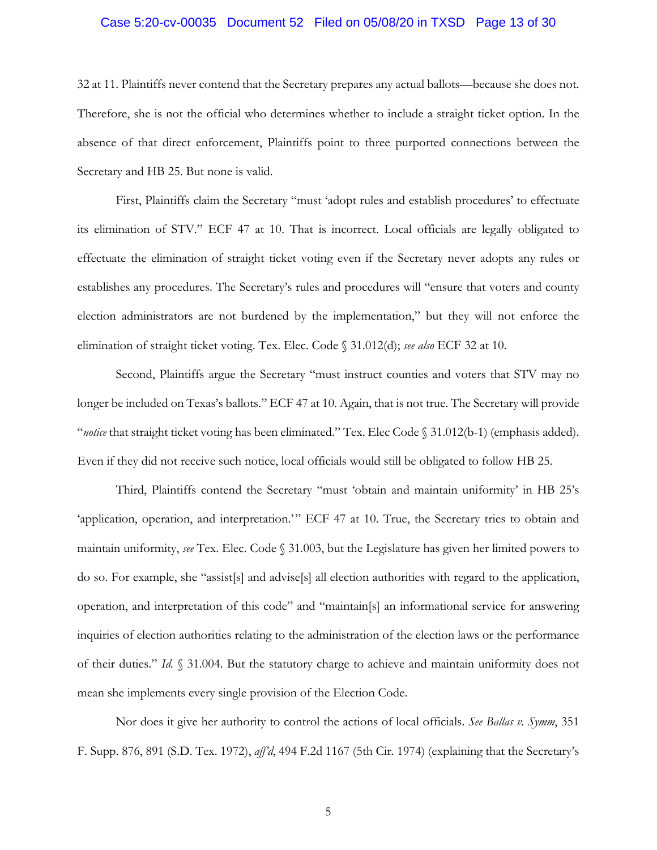#### Case 5:20-cv-00035 Document 52 Filed on 05/08/20 in TXSD Page 13 of 30

32 at 11. Plaintiffs never contend that the Secretary prepares any actual ballots—because she does not. Therefore, she is not the official who determines whether to include a straight ticket option. In the absence of that direct enforcement, Plaintiffs point to three purported connections between the Secretary and HB 25. But none is valid.

First, Plaintiffs claim the Secretary "must 'adopt rules and establish procedures' to effectuate its elimination of STV." ECF 47 at 10. That is incorrect. Local officials are legally obligated to effectuate the elimination of straight ticket voting even if the Secretary never adopts any rules or establishes any procedures. The Secretary's rules and procedures will "ensure that voters and county election administrators are not burdened by the implementation," but they will not enforce the elimination of straight ticket voting. Tex. Elec. Code § 31.012(d); *see also* ECF 32 at 10.

Second, Plaintiffs argue the Secretary "must instruct counties and voters that STV may no longer be included on Texas's ballots." ECF 47 at 10. Again, that is not true. The Secretary will provide "*notice* that straight ticket voting has been eliminated." Tex. Elec Code § 31.012(b-1) (emphasis added). Even if they did not receive such notice, local officials would still be obligated to follow HB 25.

Third, Plaintiffs contend the Secretary "must 'obtain and maintain uniformity' in HB 25's 'application, operation, and interpretation.'" ECF 47 at 10. True, the Secretary tries to obtain and maintain uniformity, *see* Tex. Elec. Code § 31.003, but the Legislature has given her limited powers to do so. For example, she "assist[s] and advise[s] all election authorities with regard to the application, operation, and interpretation of this code" and "maintain[s] an informational service for answering inquiries of election authorities relating to the administration of the election laws or the performance of their duties." *Id.* § 31.004. But the statutory charge to achieve and maintain uniformity does not mean she implements every single provision of the Election Code.

Nor does it give her authority to control the actions of local officials. *See Ballas v. Symm*, 351 F. Supp. 876, 891 (S.D. Tex. 1972), *aff'd*, 494 F.2d 1167 (5th Cir. 1974) (explaining that the Secretary's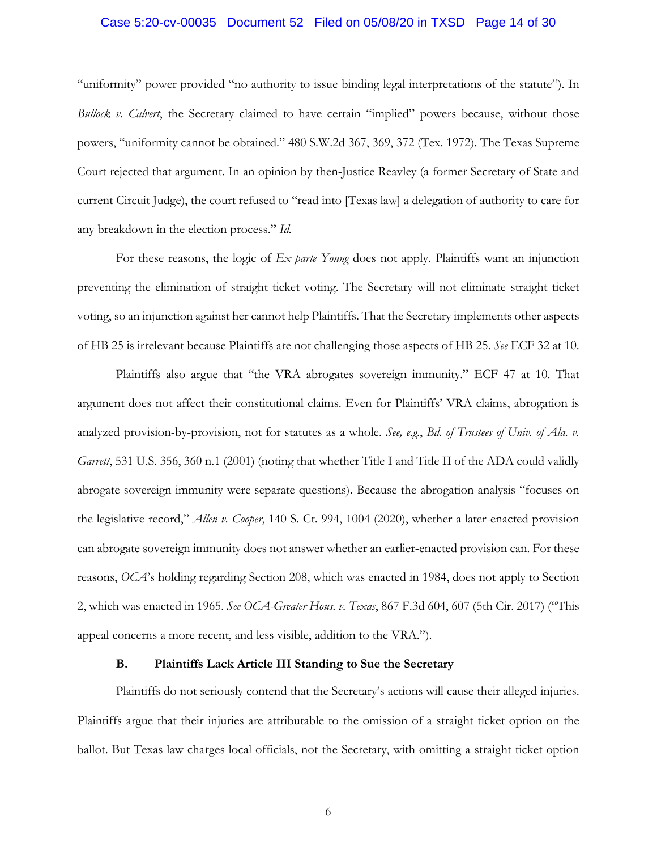#### Case 5:20-cv-00035 Document 52 Filed on 05/08/20 in TXSD Page 14 of 30

"uniformity" power provided "no authority to issue binding legal interpretations of the statute"). In *Bullock v. Calvert*, the Secretary claimed to have certain "implied" powers because, without those powers, "uniformity cannot be obtained." 480 S.W.2d 367, 369, 372 (Tex. 1972). The Texas Supreme Court rejected that argument. In an opinion by then-Justice Reavley (a former Secretary of State and current Circuit Judge), the court refused to "read into [Texas law] a delegation of authority to care for any breakdown in the election process." *Id.*

For these reasons, the logic of *Ex parte Young* does not apply. Plaintiffs want an injunction preventing the elimination of straight ticket voting. The Secretary will not eliminate straight ticket voting, so an injunction against her cannot help Plaintiffs. That the Secretary implements other aspects of HB 25 is irrelevant because Plaintiffs are not challenging those aspects of HB 25. *See* ECF 32 at 10.

Plaintiffs also argue that "the VRA abrogates sovereign immunity." ECF 47 at 10. That argument does not affect their constitutional claims. Even for Plaintiffs' VRA claims, abrogation is analyzed provision-by-provision, not for statutes as a whole. *See, e.g.*, *Bd. of Trustees of Univ. of Ala. v. Garrett*, 531 U.S. 356, 360 n.1 (2001) (noting that whether Title I and Title II of the ADA could validly abrogate sovereign immunity were separate questions). Because the abrogation analysis "focuses on the legislative record," *Allen v. Cooper*, 140 S. Ct. 994, 1004 (2020), whether a later-enacted provision can abrogate sovereign immunity does not answer whether an earlier-enacted provision can. For these reasons, *OCA*'s holding regarding Section 208, which was enacted in 1984, does not apply to Section 2, which was enacted in 1965. *See OCA-Greater Hous. v. Texas*, 867 F.3d 604, 607 (5th Cir. 2017) ("This appeal concerns a more recent, and less visible, addition to the VRA.").

#### **B. Plaintiffs Lack Article III Standing to Sue the Secretary**

Plaintiffs do not seriously contend that the Secretary's actions will cause their alleged injuries. Plaintiffs argue that their injuries are attributable to the omission of a straight ticket option on the ballot. But Texas law charges local officials, not the Secretary, with omitting a straight ticket option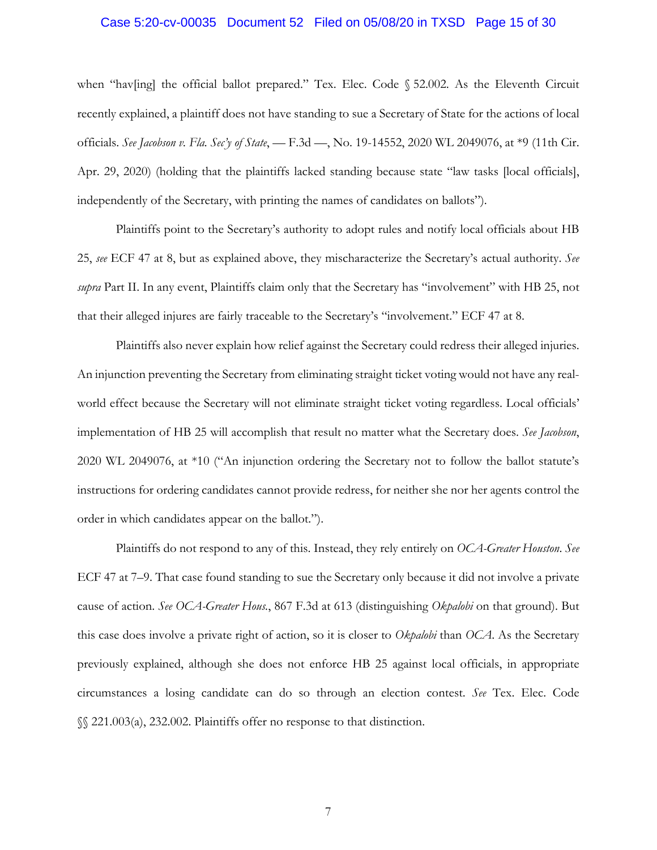#### Case 5:20-cv-00035 Document 52 Filed on 05/08/20 in TXSD Page 15 of 30

when "hav[ing] the official ballot prepared." Tex. Elec. Code § 52.002. As the Eleventh Circuit recently explained, a plaintiff does not have standing to sue a Secretary of State for the actions of local officials. *See Jacobson v. Fla. Sec'y of State*, — F.3d —, No. 19-14552, 2020 WL 2049076, at \*9 (11th Cir. Apr. 29, 2020) (holding that the plaintiffs lacked standing because state "law tasks [local officials], independently of the Secretary, with printing the names of candidates on ballots").

Plaintiffs point to the Secretary's authority to adopt rules and notify local officials about HB 25, *see* ECF 47 at 8, but as explained above, they mischaracterize the Secretary's actual authority. *See supra* Part II. In any event, Plaintiffs claim only that the Secretary has "involvement" with HB 25, not that their alleged injures are fairly traceable to the Secretary's "involvement." ECF 47 at 8.

Plaintiffs also never explain how relief against the Secretary could redress their alleged injuries. An injunction preventing the Secretary from eliminating straight ticket voting would not have any realworld effect because the Secretary will not eliminate straight ticket voting regardless. Local officials' implementation of HB 25 will accomplish that result no matter what the Secretary does. *See Jacobson*, 2020 WL 2049076, at \*10 ("An injunction ordering the Secretary not to follow the ballot statute's instructions for ordering candidates cannot provide redress, for neither she nor her agents control the order in which candidates appear on the ballot.").

Plaintiffs do not respond to any of this. Instead, they rely entirely on *OCA-Greater Houston*. *See* ECF 47 at 7–9. That case found standing to sue the Secretary only because it did not involve a private cause of action. *See OCA-Greater Hous.*, 867 F.3d at 613 (distinguishing *Okpalobi* on that ground). But this case does involve a private right of action, so it is closer to *Okpalobi* than *OCA*. As the Secretary previously explained, although she does not enforce HB 25 against local officials, in appropriate circumstances a losing candidate can do so through an election contest. *See* Tex. Elec. Code §§ 221.003(a), 232.002. Plaintiffs offer no response to that distinction.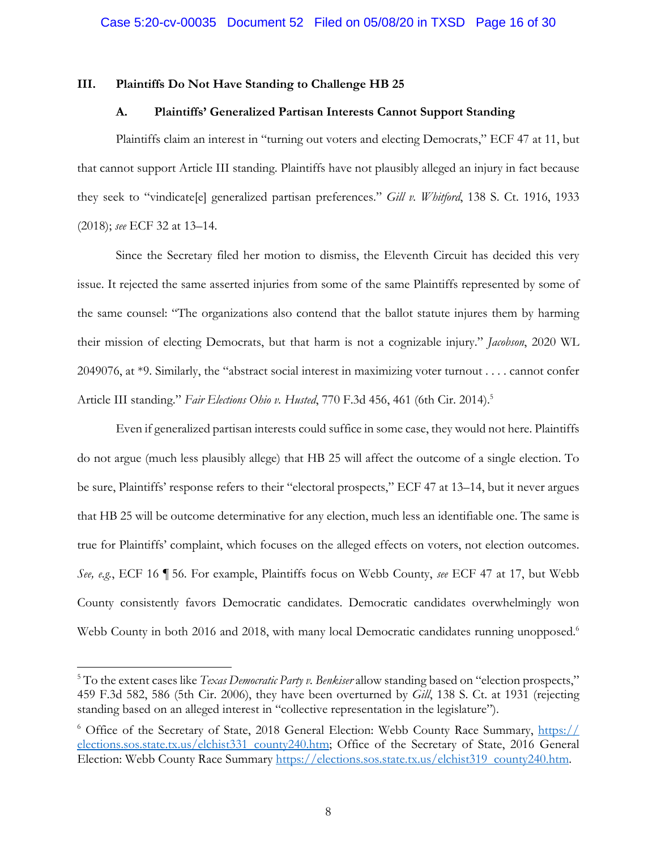#### **III. Plaintiffs Do Not Have Standing to Challenge HB 25**

#### **A. Plaintiffs' Generalized Partisan Interests Cannot Support Standing**

Plaintiffs claim an interest in "turning out voters and electing Democrats," ECF 47 at 11, but that cannot support Article III standing. Plaintiffs have not plausibly alleged an injury in fact because they seek to "vindicate[e] generalized partisan preferences." *Gill v. Whitford*, 138 S. Ct. 1916, 1933 (2018); *see* ECF 32 at 13–14.

Since the Secretary filed her motion to dismiss, the Eleventh Circuit has decided this very issue. It rejected the same asserted injuries from some of the same Plaintiffs represented by some of the same counsel: "The organizations also contend that the ballot statute injures them by harming their mission of electing Democrats, but that harm is not a cognizable injury." *Jacobson*, 2020 WL 2049076, at \*9. Similarly, the "abstract social interest in maximizing voter turnout . . . . cannot confer Article III standing." *Fair Elections Ohio v. Husted*, 770 F.3d 456, 461 (6th Cir. 2014).5

Even if generalized partisan interests could suffice in some case, they would not here. Plaintiffs do not argue (much less plausibly allege) that HB 25 will affect the outcome of a single election. To be sure, Plaintiffs' response refers to their "electoral prospects," ECF 47 at 13–14, but it never argues that HB 25 will be outcome determinative for any election, much less an identifiable one. The same is true for Plaintiffs' complaint, which focuses on the alleged effects on voters, not election outcomes. *See, e.g.*, ECF 16 ¶ 56. For example, Plaintiffs focus on Webb County, *see* ECF 47 at 17, but Webb County consistently favors Democratic candidates. Democratic candidates overwhelmingly won Webb County in both 2016 and 2018, with many local Democratic candidates running unopposed.<sup>6</sup>

1

<sup>&</sup>lt;sup>5</sup> To the extent cases like *Texas Democratic Party v. Benkiser* allow standing based on "election prospects," 459 F.3d 582, 586 (5th Cir. 2006), they have been overturned by *Gill*, 138 S. Ct. at 1931 (rejecting standing based on an alleged interest in "collective representation in the legislature").

<sup>&</sup>lt;sup>6</sup> Office of the Secretary of State, 2018 General Election: Webb County Race Summary, https:// elections.sos.state.tx.us/elchist331 county240.htm; Office of the Secretary of State, 2016 General Election: Webb County Race Summary https://elections.sos.state.tx.us/elchist319\_county240.htm.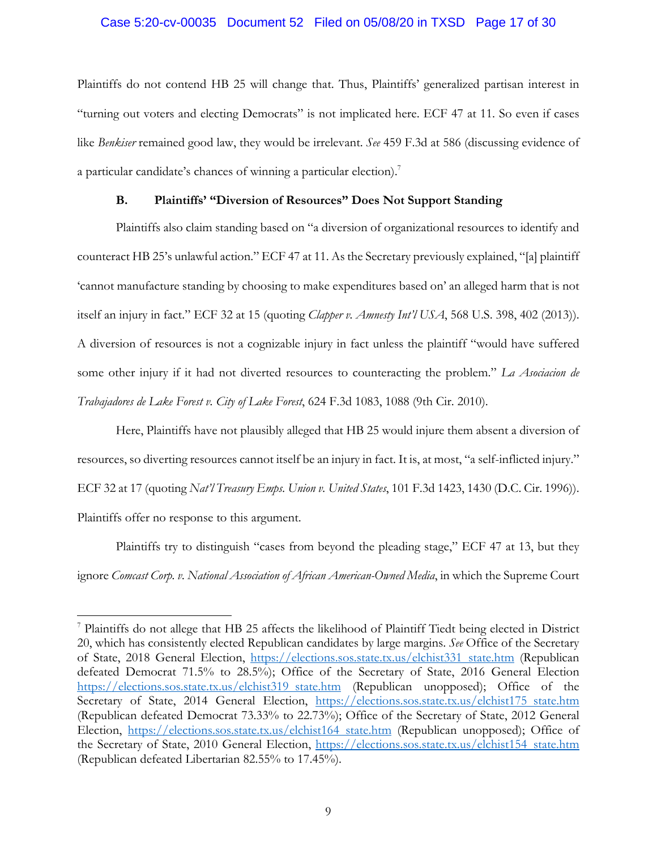#### Case 5:20-cv-00035 Document 52 Filed on 05/08/20 in TXSD Page 17 of 30

Plaintiffs do not contend HB 25 will change that. Thus, Plaintiffs' generalized partisan interest in "turning out voters and electing Democrats" is not implicated here. ECF 47 at 11. So even if cases like *Benkiser* remained good law, they would be irrelevant. *See* 459 F.3d at 586 (discussing evidence of a particular candidate's chances of winning a particular election).<sup>7</sup>

#### **B. Plaintiffs' "Diversion of Resources" Does Not Support Standing**

Plaintiffs also claim standing based on "a diversion of organizational resources to identify and counteract HB 25's unlawful action." ECF 47 at 11. As the Secretary previously explained, "[a] plaintiff 'cannot manufacture standing by choosing to make expenditures based on' an alleged harm that is not itself an injury in fact." ECF 32 at 15 (quoting *Clapper v. Amnesty Int'l USA*, 568 U.S. 398, 402 (2013)). A diversion of resources is not a cognizable injury in fact unless the plaintiff "would have suffered some other injury if it had not diverted resources to counteracting the problem." *La Asociacion de Trabajadores de Lake Forest v. City of Lake Forest*, 624 F.3d 1083, 1088 (9th Cir. 2010).

Here, Plaintiffs have not plausibly alleged that HB 25 would injure them absent a diversion of resources, so diverting resources cannot itself be an injury in fact. It is, at most, "a self-inflicted injury." ECF 32 at 17 (quoting *Nat'l Treasury Emps. Union v. United States*, 101 F.3d 1423, 1430 (D.C. Cir. 1996)). Plaintiffs offer no response to this argument.

Plaintiffs try to distinguish "cases from beyond the pleading stage," ECF 47 at 13, but they ignore *Comcast Corp. v. National Association of African American-Owned Media*, in which the Supreme Court

 $\overline{a}$ 

<sup>7</sup> Plaintiffs do not allege that HB 25 affects the likelihood of Plaintiff Tiedt being elected in District 20, which has consistently elected Republican candidates by large margins. *See* Office of the Secretary of State, 2018 General Election, https://elections.sos.state.tx.us/elchist331 state.htm (Republican defeated Democrat 71.5% to 28.5%); Office of the Secretary of State, 2016 General Election https://elections.sos.state.tx.us/elchist319 state.htm (Republican unopposed); Office of the Secretary of State, 2014 General Election, https://elections.sos.state.tx.us/elchist175 state.htm (Republican defeated Democrat 73.33% to 22.73%); Office of the Secretary of State, 2012 General Election, https://elections.sos.state.tx.us/elchist164 state.htm (Republican unopposed); Office of the Secretary of State, 2010 General Election, https://elections.sos.state.tx.us/elchist154 state.htm (Republican defeated Libertarian 82.55% to 17.45%).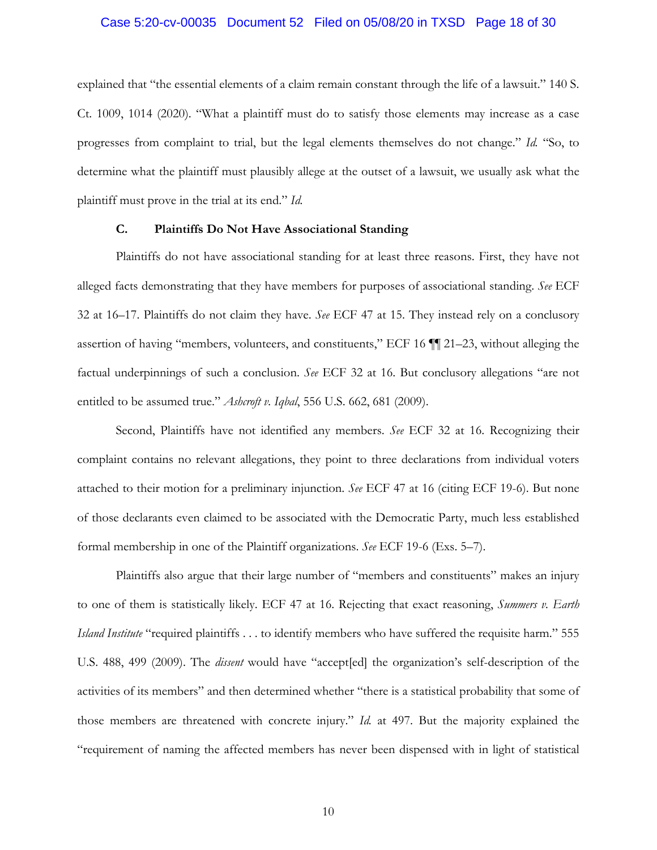#### Case 5:20-cv-00035 Document 52 Filed on 05/08/20 in TXSD Page 18 of 30

explained that "the essential elements of a claim remain constant through the life of a lawsuit." 140 S. Ct. 1009, 1014 (2020). "What a plaintiff must do to satisfy those elements may increase as a case progresses from complaint to trial, but the legal elements themselves do not change." *Id.* "So, to determine what the plaintiff must plausibly allege at the outset of a lawsuit, we usually ask what the plaintiff must prove in the trial at its end." *Id.*

#### **C. Plaintiffs Do Not Have Associational Standing**

Plaintiffs do not have associational standing for at least three reasons. First, they have not alleged facts demonstrating that they have members for purposes of associational standing. *See* ECF 32 at 16–17. Plaintiffs do not claim they have. *See* ECF 47 at 15. They instead rely on a conclusory assertion of having "members, volunteers, and constituents," ECF 16 ¶¶ 21–23, without alleging the factual underpinnings of such a conclusion. *See* ECF 32 at 16. But conclusory allegations "are not entitled to be assumed true." *Ashcroft v. Iqbal*, 556 U.S. 662, 681 (2009).

Second, Plaintiffs have not identified any members. *See* ECF 32 at 16. Recognizing their complaint contains no relevant allegations, they point to three declarations from individual voters attached to their motion for a preliminary injunction. *See* ECF 47 at 16 (citing ECF 19-6). But none of those declarants even claimed to be associated with the Democratic Party, much less established formal membership in one of the Plaintiff organizations. *See* ECF 19-6 (Exs. 5–7).

Plaintiffs also argue that their large number of "members and constituents" makes an injury to one of them is statistically likely. ECF 47 at 16. Rejecting that exact reasoning, *Summers v. Earth Island Institute* "required plaintiffs . . . to identify members who have suffered the requisite harm." 555 U.S. 488, 499 (2009). The *dissent* would have "accept[ed] the organization's self-description of the activities of its members" and then determined whether "there is a statistical probability that some of those members are threatened with concrete injury." *Id.* at 497. But the majority explained the "requirement of naming the affected members has never been dispensed with in light of statistical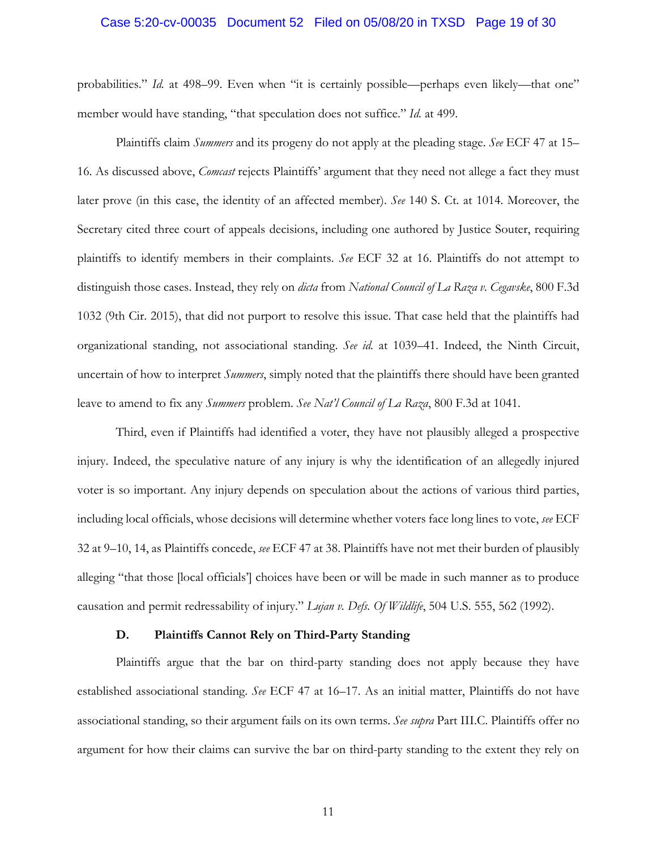#### Case 5:20-cv-00035 Document 52 Filed on 05/08/20 in TXSD Page 19 of 30

probabilities." *Id.* at 498–99. Even when "it is certainly possible—perhaps even likely—that one" member would have standing, "that speculation does not suffice." *Id.* at 499.

Plaintiffs claim *Summers* and its progeny do not apply at the pleading stage. *See* ECF 47 at 15– 16. As discussed above, *Comcast* rejects Plaintiffs' argument that they need not allege a fact they must later prove (in this case, the identity of an affected member). *See* 140 S. Ct. at 1014. Moreover, the Secretary cited three court of appeals decisions, including one authored by Justice Souter, requiring plaintiffs to identify members in their complaints. *See* ECF 32 at 16. Plaintiffs do not attempt to distinguish those cases. Instead, they rely on *dicta* from *National Council of La Raza v. Cegavske*, 800 F.3d 1032 (9th Cir. 2015), that did not purport to resolve this issue. That case held that the plaintiffs had organizational standing, not associational standing. *See id.* at 1039–41. Indeed, the Ninth Circuit, uncertain of how to interpret *Summers*, simply noted that the plaintiffs there should have been granted leave to amend to fix any *Summers* problem. *See Nat'l Council of La Raza*, 800 F.3d at 1041.

Third, even if Plaintiffs had identified a voter, they have not plausibly alleged a prospective injury. Indeed, the speculative nature of any injury is why the identification of an allegedly injured voter is so important. Any injury depends on speculation about the actions of various third parties, including local officials, whose decisions will determine whether voters face long lines to vote, *see* ECF 32 at 9–10, 14, as Plaintiffs concede, *see* ECF 47 at 38. Plaintiffs have not met their burden of plausibly alleging "that those [local officials'] choices have been or will be made in such manner as to produce causation and permit redressability of injury." *Lujan v. Defs. Of Wildlife*, 504 U.S. 555, 562 (1992).

#### **D. Plaintiffs Cannot Rely on Third-Party Standing**

Plaintiffs argue that the bar on third-party standing does not apply because they have established associational standing. *See* ECF 47 at 16–17. As an initial matter, Plaintiffs do not have associational standing, so their argument fails on its own terms. *See supra* Part III.C. Plaintiffs offer no argument for how their claims can survive the bar on third-party standing to the extent they rely on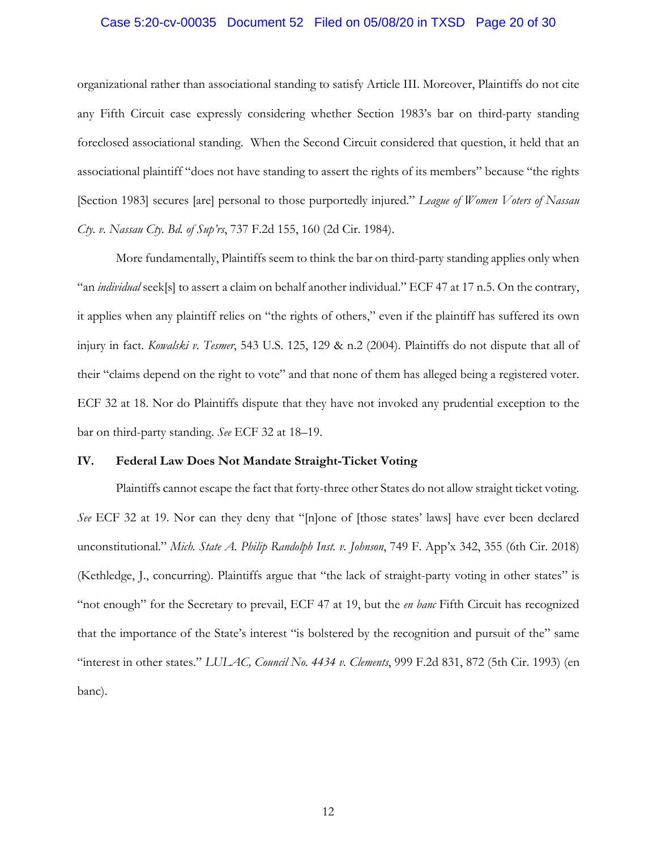#### Case 5:20-cv-00035 Document 52 Filed on 05/08/20 in TXSD Page 20 of 30

organizational rather than associational standing to satisfy Article III. Moreover, Plaintiffs do not cite any Fifth Circuit case expressly considering whether Section 1983's bar on third-party standing foreclosed associational standing. When the Second Circuit considered that question, it held that an associational plaintiff "does not have standing to assert the rights of its members" because "the rights [Section 1983] secures [are] personal to those purportedly injured." *League of Women Voters of Nassau Cty. v. Nassau Cty. Bd. of Sup'rs*, 737 F.2d 155, 160 (2d Cir. 1984).

More fundamentally, Plaintiffs seem to think the bar on third-party standing applies only when "an *individual* seek[s] to assert a claim on behalf another individual." ECF 47 at 17 n.5. On the contrary, it applies when any plaintiff relies on "the rights of others," even if the plaintiff has suffered its own injury in fact. *Kowalski v. Tesmer*, 543 U.S. 125, 129 & n.2 (2004). Plaintiffs do not dispute that all of their "claims depend on the right to vote" and that none of them has alleged being a registered voter. ECF 32 at 18. Nor do Plaintiffs dispute that they have not invoked any prudential exception to the bar on third-party standing. *See* ECF 32 at 18–19.

#### **IV. Federal Law Does Not Mandate Straight-Ticket Voting**

Plaintiffs cannot escape the fact that forty-three other States do not allow straight ticket voting. *See* ECF 32 at 19. Nor can they deny that "[n]one of [those states' laws] have ever been declared unconstitutional." *Mich. State A. Philip Randolph Inst. v. Johnson*, 749 F. App'x 342, 355 (6th Cir. 2018) (Kethledge, J., concurring). Plaintiffs argue that "the lack of straight-party voting in other states" is "not enough" for the Secretary to prevail, ECF 47 at 19, but the *en banc* Fifth Circuit has recognized that the importance of the State's interest "is bolstered by the recognition and pursuit of the" same "interest in other states." *LULAC, Council No. 4434 v. Clements*, 999 F.2d 831, 872 (5th Cir. 1993) (en banc).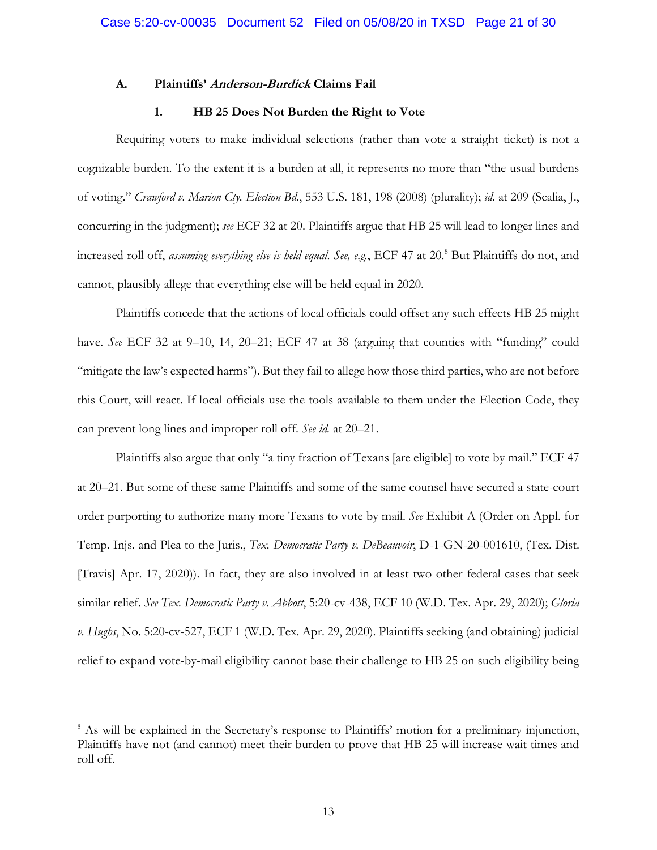#### **A. Plaintiffs' Anderson-Burdick Claims Fail**

#### **1. HB 25 Does Not Burden the Right to Vote**

Requiring voters to make individual selections (rather than vote a straight ticket) is not a cognizable burden. To the extent it is a burden at all, it represents no more than "the usual burdens of voting." *Crawford v. Marion Cty. Election Bd.*, 553 U.S. 181, 198 (2008) (plurality); *id.* at 209 (Scalia, J., concurring in the judgment); *see* ECF 32 at 20. Plaintiffs argue that HB 25 will lead to longer lines and increased roll off, *assuming everything else is held equal*. *See, e.g.*, ECF 47 at 20.8 But Plaintiffs do not, and cannot, plausibly allege that everything else will be held equal in 2020.

Plaintiffs concede that the actions of local officials could offset any such effects HB 25 might have. *See* ECF 32 at 9-10, 14, 20-21; ECF 47 at 38 (arguing that counties with "funding" could "mitigate the law's expected harms"). But they fail to allege how those third parties, who are not before this Court, will react. If local officials use the tools available to them under the Election Code, they can prevent long lines and improper roll off. *See id.* at 20–21.

Plaintiffs also argue that only "a tiny fraction of Texans [are eligible] to vote by mail." ECF 47 at 20–21. But some of these same Plaintiffs and some of the same counsel have secured a state-court order purporting to authorize many more Texans to vote by mail. *See* Exhibit A (Order on Appl. for Temp. Injs. and Plea to the Juris., *Tex. Democratic Party v. DeBeauvoir*, D-1-GN-20-001610, (Tex. Dist. [Travis] Apr. 17, 2020)). In fact, they are also involved in at least two other federal cases that seek similar relief. *See Tex. Democratic Party v. Abbott*, 5:20-cv-438, ECF 10 (W.D. Tex. Apr. 29, 2020); *Gloria v. Hughs*, No. 5:20-cv-527, ECF 1 (W.D. Tex. Apr. 29, 2020). Plaintiffs seeking (and obtaining) judicial relief to expand vote-by-mail eligibility cannot base their challenge to HB 25 on such eligibility being

1

<sup>&</sup>lt;sup>8</sup> As will be explained in the Secretary's response to Plaintiffs' motion for a preliminary injunction, Plaintiffs have not (and cannot) meet their burden to prove that HB 25 will increase wait times and roll off.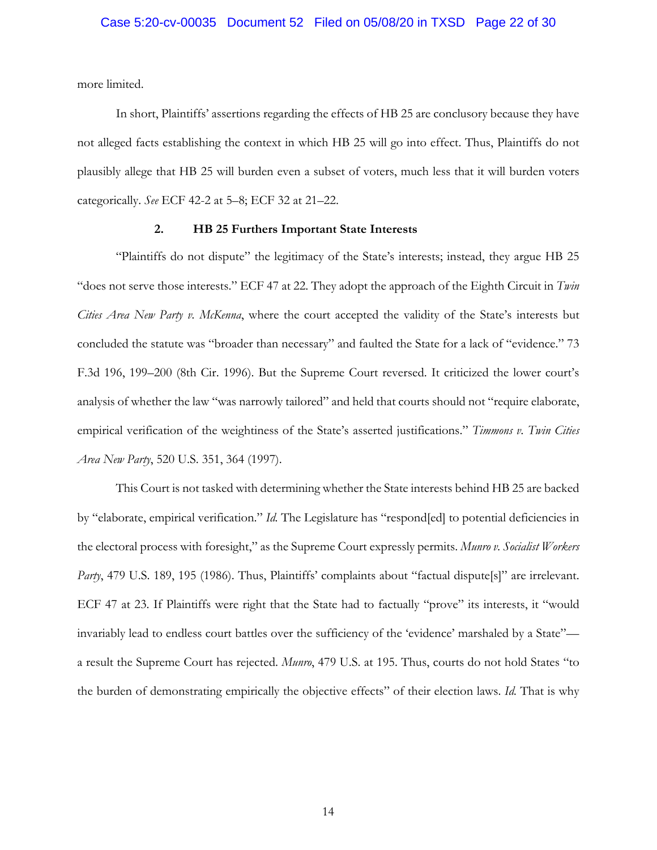more limited.

In short, Plaintiffs' assertions regarding the effects of HB 25 are conclusory because they have not alleged facts establishing the context in which HB 25 will go into effect. Thus, Plaintiffs do not plausibly allege that HB 25 will burden even a subset of voters, much less that it will burden voters categorically. *See* ECF 42-2 at 5–8; ECF 32 at 21–22.

#### **2. HB 25 Furthers Important State Interests**

"Plaintiffs do not dispute" the legitimacy of the State's interests; instead, they argue HB 25 "does not serve those interests." ECF 47 at 22. They adopt the approach of the Eighth Circuit in *Twin Cities Area New Party v. McKenna*, where the court accepted the validity of the State's interests but concluded the statute was "broader than necessary" and faulted the State for a lack of "evidence." 73 F.3d 196, 199–200 (8th Cir. 1996). But the Supreme Court reversed. It criticized the lower court's analysis of whether the law "was narrowly tailored" and held that courts should not "require elaborate, empirical verification of the weightiness of the State's asserted justifications." *Timmons v. Twin Cities Area New Party*, 520 U.S. 351, 364 (1997).

This Court is not tasked with determining whether the State interests behind HB 25 are backed by "elaborate, empirical verification." *Id.* The Legislature has "respond[ed] to potential deficiencies in the electoral process with foresight," as the Supreme Court expressly permits. *Munro v. Socialist Workers Party*, 479 U.S. 189, 195 (1986). Thus, Plaintiffs' complaints about "factual dispute<sup>[5]"</sup> are irrelevant. ECF 47 at 23. If Plaintiffs were right that the State had to factually "prove" its interests, it "would invariably lead to endless court battles over the sufficiency of the 'evidence' marshaled by a State" a result the Supreme Court has rejected. *Munro*, 479 U.S. at 195. Thus, courts do not hold States "to the burden of demonstrating empirically the objective effects" of their election laws. *Id.* That is why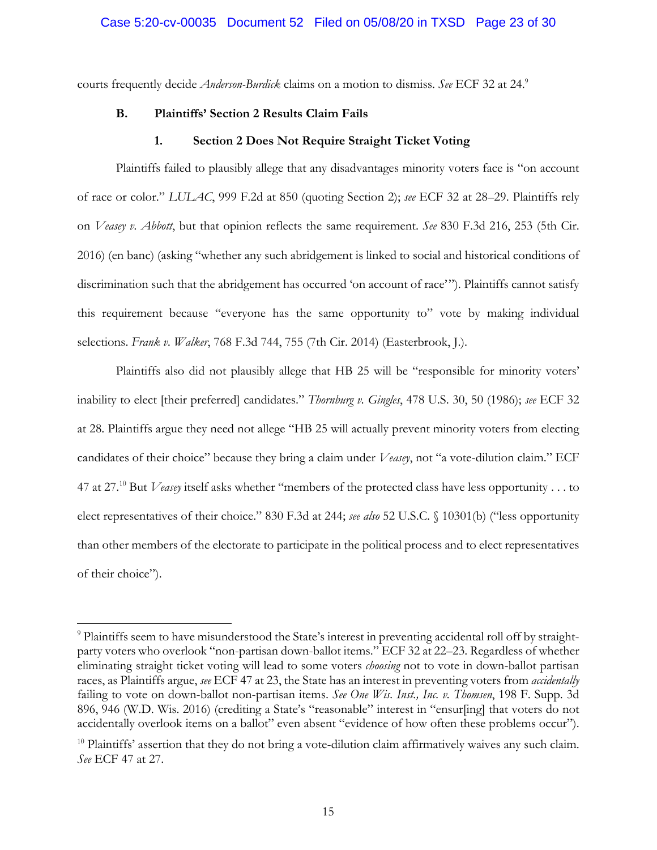courts frequently decide *Anderson-Burdick* claims on a motion to dismiss. *See* ECF 32 at 24.9

#### **B. Plaintiffs' Section 2 Results Claim Fails**

#### **1. Section 2 Does Not Require Straight Ticket Voting**

Plaintiffs failed to plausibly allege that any disadvantages minority voters face is "on account of race or color." *LULAC*, 999 F.2d at 850 (quoting Section 2); *see* ECF 32 at 28–29. Plaintiffs rely on *Veasey v. Abbott*, but that opinion reflects the same requirement. *See* 830 F.3d 216, 253 (5th Cir. 2016) (en banc) (asking "whether any such abridgement is linked to social and historical conditions of discrimination such that the abridgement has occurred 'on account of race'"). Plaintiffs cannot satisfy this requirement because "everyone has the same opportunity to" vote by making individual selections. *Frank v. Walker*, 768 F.3d 744, 755 (7th Cir. 2014) (Easterbrook, J.).

Plaintiffs also did not plausibly allege that HB 25 will be "responsible for minority voters' inability to elect [their preferred] candidates." *Thornburg v. Gingles*, 478 U.S. 30, 50 (1986); *see* ECF 32 at 28. Plaintiffs argue they need not allege "HB 25 will actually prevent minority voters from electing candidates of their choice" because they bring a claim under *Veasey*, not "a vote-dilution claim." ECF 47 at 27.10 But *Veasey* itself asks whether "members of the protected class have less opportunity . . . to elect representatives of their choice." 830 F.3d at 244; *see also* 52 U.S.C. § 10301(b) ("less opportunity than other members of the electorate to participate in the political process and to elect representatives of their choice").

 $\overline{a}$ 

<sup>&</sup>lt;sup>9</sup> Plaintiffs seem to have misunderstood the State's interest in preventing accidental roll off by straightparty voters who overlook "non-partisan down-ballot items." ECF 32 at 22–23. Regardless of whether eliminating straight ticket voting will lead to some voters *choosing* not to vote in down-ballot partisan races, as Plaintiffs argue, *see* ECF 47 at 23, the State has an interest in preventing voters from *accidentally* failing to vote on down-ballot non-partisan items. *See One Wis. Inst., Inc. v. Thomsen*, 198 F. Supp. 3d 896, 946 (W.D. Wis. 2016) (crediting a State's "reasonable" interest in "ensur[ing] that voters do not accidentally overlook items on a ballot" even absent "evidence of how often these problems occur").

 $10$  Plaintiffs' assertion that they do not bring a vote-dilution claim affirmatively waives any such claim. *See* ECF 47 at 27.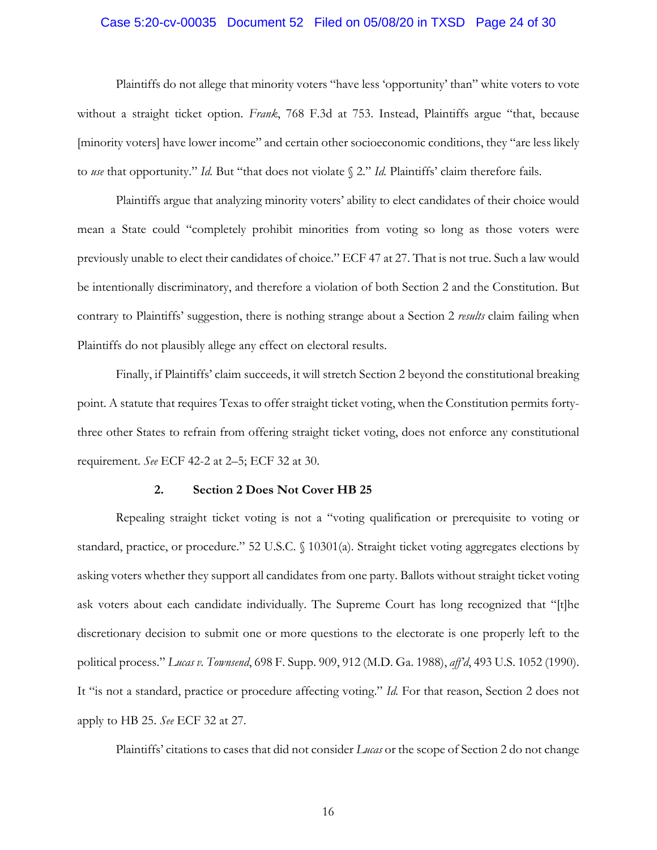#### Case 5:20-cv-00035 Document 52 Filed on 05/08/20 in TXSD Page 24 of 30

Plaintiffs do not allege that minority voters "have less 'opportunity' than" white voters to vote without a straight ticket option. *Frank*, 768 F.3d at 753. Instead, Plaintiffs argue "that, because [minority voters] have lower income" and certain other socioeconomic conditions, they "are less likely to *use* that opportunity." *Id.* But "that does not violate § 2." *Id.* Plaintiffs' claim therefore fails.

Plaintiffs argue that analyzing minority voters' ability to elect candidates of their choice would mean a State could "completely prohibit minorities from voting so long as those voters were previously unable to elect their candidates of choice." ECF 47 at 27. That is not true. Such a law would be intentionally discriminatory, and therefore a violation of both Section 2 and the Constitution. But contrary to Plaintiffs' suggestion, there is nothing strange about a Section 2 *results* claim failing when Plaintiffs do not plausibly allege any effect on electoral results.

Finally, if Plaintiffs' claim succeeds, it will stretch Section 2 beyond the constitutional breaking point. A statute that requires Texas to offer straight ticket voting, when the Constitution permits fortythree other States to refrain from offering straight ticket voting, does not enforce any constitutional requirement. *See* ECF 42-2 at 2–5; ECF 32 at 30.

#### **2. Section 2 Does Not Cover HB 25**

Repealing straight ticket voting is not a "voting qualification or prerequisite to voting or standard, practice, or procedure." 52 U.S.C. § 10301(a). Straight ticket voting aggregates elections by asking voters whether they support all candidates from one party. Ballots without straight ticket voting ask voters about each candidate individually. The Supreme Court has long recognized that "[t]he discretionary decision to submit one or more questions to the electorate is one properly left to the political process." *Lucas v. Townsend*, 698 F. Supp. 909, 912 (M.D. Ga. 1988), *aff'd*, 493 U.S. 1052 (1990). It "is not a standard, practice or procedure affecting voting." *Id.* For that reason, Section 2 does not apply to HB 25. *See* ECF 32 at 27.

Plaintiffs' citations to cases that did not consider *Lucas* or the scope of Section 2 do not change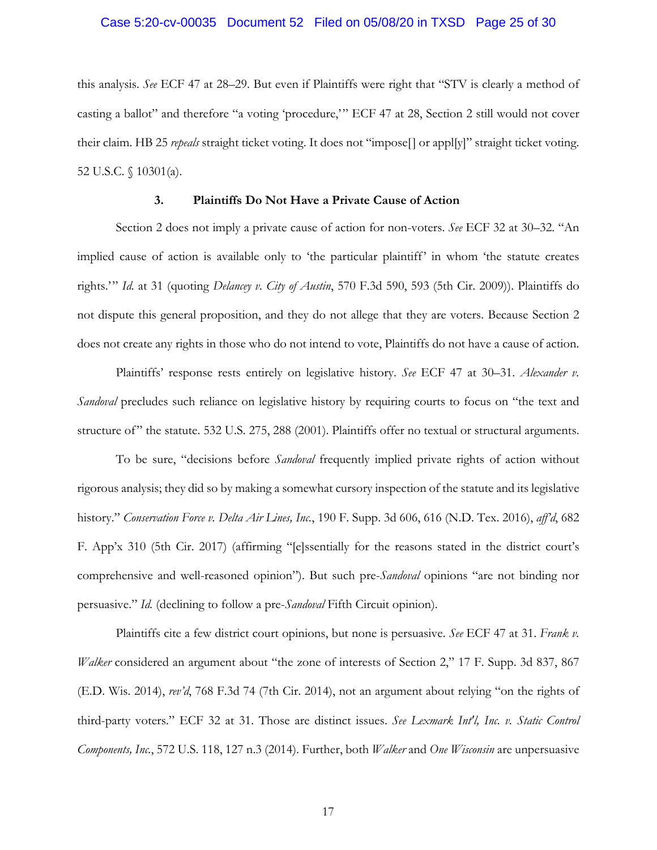#### Case 5:20-cv-00035 Document 52 Filed on 05/08/20 in TXSD Page 25 of 30

this analysis. *See* ECF 47 at 28–29. But even if Plaintiffs were right that "STV is clearly a method of casting a ballot" and therefore "a voting 'procedure,'" ECF 47 at 28, Section 2 still would not cover their claim. HB 25 *repeals* straight ticket voting. It does not "impose[] or appl[y]" straight ticket voting. 52 U.S.C. § 10301(a).

#### **3. Plaintiffs Do Not Have a Private Cause of Action**

Section 2 does not imply a private cause of action for non-voters. *See* ECF 32 at 30–32. "An implied cause of action is available only to 'the particular plaintiff' in whom 'the statute creates rights.'" *Id.* at 31 (quoting *Delancey v. City of Austin*, 570 F.3d 590, 593 (5th Cir. 2009)). Plaintiffs do not dispute this general proposition, and they do not allege that they are voters. Because Section 2 does not create any rights in those who do not intend to vote, Plaintiffs do not have a cause of action.

Plaintiffs' response rests entirely on legislative history. *See* ECF 47 at 30–31. *Alexander v. Sandoval* precludes such reliance on legislative history by requiring courts to focus on "the text and structure of" the statute. 532 U.S. 275, 288 (2001). Plaintiffs offer no textual or structural arguments.

To be sure, "decisions before *Sandoval* frequently implied private rights of action without rigorous analysis; they did so by making a somewhat cursory inspection of the statute and its legislative history." *Conservation Force v. Delta Air Lines, Inc.*, 190 F. Supp. 3d 606, 616 (N.D. Tex. 2016), *aff'd*, 682 F. App'x 310 (5th Cir. 2017) (affirming "[e]ssentially for the reasons stated in the district court's comprehensive and well-reasoned opinion"). But such pre-*Sandoval* opinions "are not binding nor persuasive." *Id.* (declining to follow a pre-*Sandoval* Fifth Circuit opinion).

Plaintiffs cite a few district court opinions, but none is persuasive. *See* ECF 47 at 31. *Frank v. Walker* considered an argument about "the zone of interests of Section 2," 17 F. Supp. 3d 837, 867 (E.D. Wis. 2014), *rev'd*, 768 F.3d 74 (7th Cir. 2014), not an argument about relying "on the rights of third-party voters." ECF 32 at 31. Those are distinct issues. *See Lexmark Int'l, Inc. v. Static Control Components, Inc.*, 572 U.S. 118, 127 n.3 (2014). Further, both *Walker* and *One Wisconsin* are unpersuasive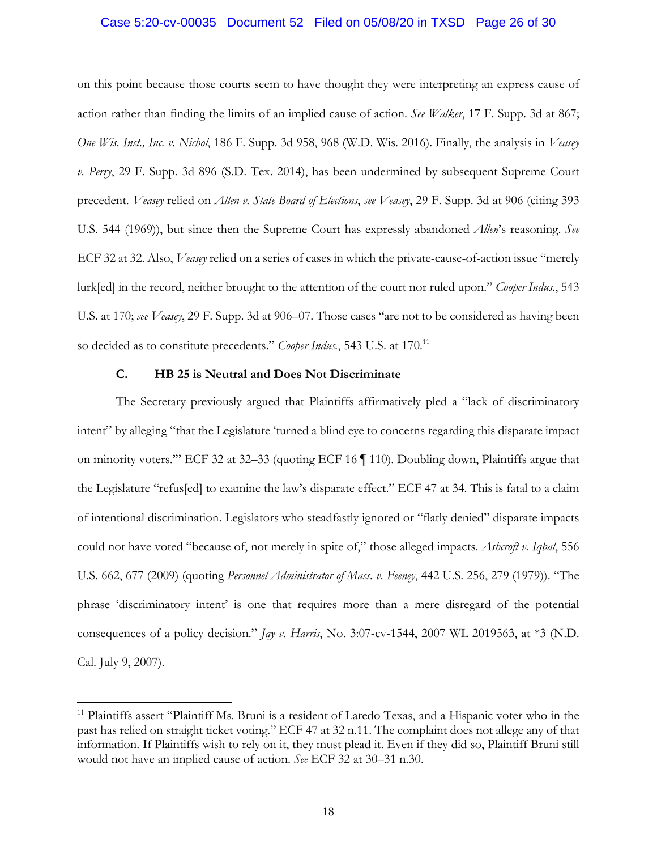#### Case 5:20-cv-00035 Document 52 Filed on 05/08/20 in TXSD Page 26 of 30

on this point because those courts seem to have thought they were interpreting an express cause of action rather than finding the limits of an implied cause of action. *See Walker*, 17 F. Supp. 3d at 867; *One Wis. Inst., Inc. v. Nichol*, 186 F. Supp. 3d 958, 968 (W.D. Wis. 2016). Finally, the analysis in *Veasey v. Perry*, 29 F. Supp. 3d 896 (S.D. Tex. 2014), has been undermined by subsequent Supreme Court precedent. *Veasey* relied on *Allen v. State Board of Elections*, *see Veasey*, 29 F. Supp. 3d at 906 (citing 393 U.S. 544 (1969)), but since then the Supreme Court has expressly abandoned *Allen*'s reasoning. *See* ECF 32 at 32. Also, *Veasey* relied on a series of cases in which the private-cause-of-action issue "merely lurk[ed] in the record, neither brought to the attention of the court nor ruled upon." *Cooper Indus.*, 543 U.S. at 170; *see Veasey*, 29 F. Supp. 3d at 906–07. Those cases "are not to be considered as having been so decided as to constitute precedents." *Cooper Indus.*, 543 U.S. at 170.11

#### **C. HB 25 is Neutral and Does Not Discriminate**

 $\overline{a}$ 

The Secretary previously argued that Plaintiffs affirmatively pled a "lack of discriminatory intent" by alleging "that the Legislature 'turned a blind eye to concerns regarding this disparate impact on minority voters.'" ECF 32 at 32–33 (quoting ECF 16 ¶ 110). Doubling down, Plaintiffs argue that the Legislature "refus[ed] to examine the law's disparate effect." ECF 47 at 34. This is fatal to a claim of intentional discrimination. Legislators who steadfastly ignored or "flatly denied" disparate impacts could not have voted "because of, not merely in spite of," those alleged impacts. *Ashcroft v. Iqbal*, 556 U.S. 662, 677 (2009) (quoting *Personnel Administrator of Mass. v. Feeney*, 442 U.S. 256, 279 (1979)). "The phrase 'discriminatory intent' is one that requires more than a mere disregard of the potential consequences of a policy decision." *Jay v. Harris*, No. 3:07-cv-1544, 2007 WL 2019563, at \*3 (N.D. Cal. July 9, 2007).

<sup>&</sup>lt;sup>11</sup> Plaintiffs assert "Plaintiff Ms. Bruni is a resident of Laredo Texas, and a Hispanic voter who in the past has relied on straight ticket voting." ECF 47 at 32 n.11. The complaint does not allege any of that information. If Plaintiffs wish to rely on it, they must plead it. Even if they did so, Plaintiff Bruni still would not have an implied cause of action. *See* ECF 32 at 30–31 n.30.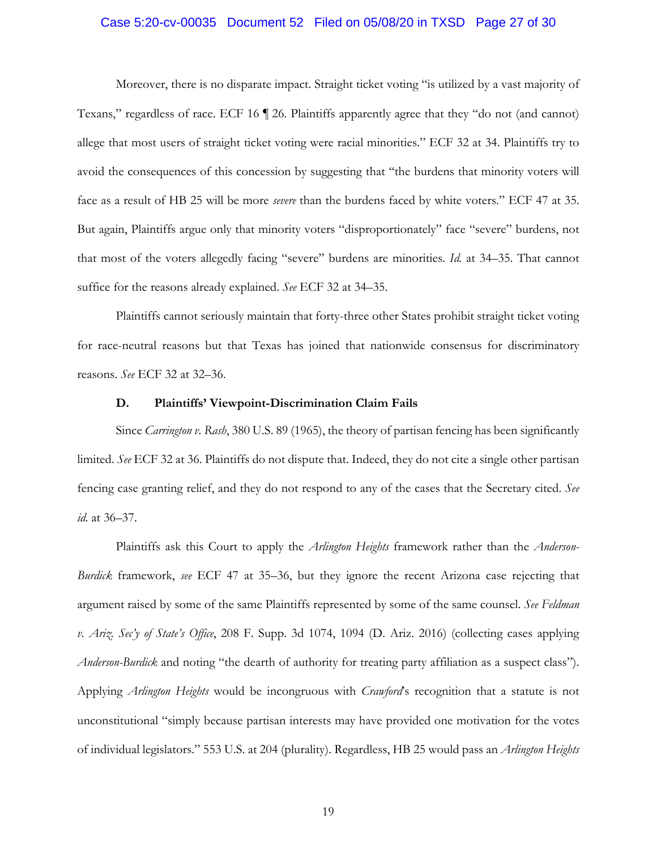#### Case 5:20-cv-00035 Document 52 Filed on 05/08/20 in TXSD Page 27 of 30

Moreover, there is no disparate impact. Straight ticket voting "is utilized by a vast majority of Texans," regardless of race. ECF 16 ¶ 26. Plaintiffs apparently agree that they "do not (and cannot) allege that most users of straight ticket voting were racial minorities." ECF 32 at 34. Plaintiffs try to avoid the consequences of this concession by suggesting that "the burdens that minority voters will face as a result of HB 25 will be more *severe* than the burdens faced by white voters." ECF 47 at 35. But again, Plaintiffs argue only that minority voters "disproportionately" face "severe" burdens, not that most of the voters allegedly facing "severe" burdens are minorities. *Id.* at 34–35. That cannot suffice for the reasons already explained. *See* ECF 32 at 34–35.

Plaintiffs cannot seriously maintain that forty-three other States prohibit straight ticket voting for race-neutral reasons but that Texas has joined that nationwide consensus for discriminatory reasons. *See* ECF 32 at 32–36.

#### **D. Plaintiffs' Viewpoint-Discrimination Claim Fails**

Since *Carrington v. Rash*, 380 U.S. 89 (1965), the theory of partisan fencing has been significantly limited. *See* ECF 32 at 36. Plaintiffs do not dispute that. Indeed, they do not cite a single other partisan fencing case granting relief, and they do not respond to any of the cases that the Secretary cited. *See id.* at 36–37.

Plaintiffs ask this Court to apply the *Arlington Heights* framework rather than the *Anderson-Burdick* framework, *see* ECF 47 at 35–36, but they ignore the recent Arizona case rejecting that argument raised by some of the same Plaintiffs represented by some of the same counsel. *See Feldman v. Ariz. Sec'y of State's Office*, 208 F. Supp. 3d 1074, 1094 (D. Ariz. 2016) (collecting cases applying *Anderson-Burdick* and noting "the dearth of authority for treating party affiliation as a suspect class"). Applying *Arlington Heights* would be incongruous with *Crawford*'s recognition that a statute is not unconstitutional "simply because partisan interests may have provided one motivation for the votes of individual legislators." 553 U.S. at 204 (plurality). Regardless, HB 25 would pass an *Arlington Heights*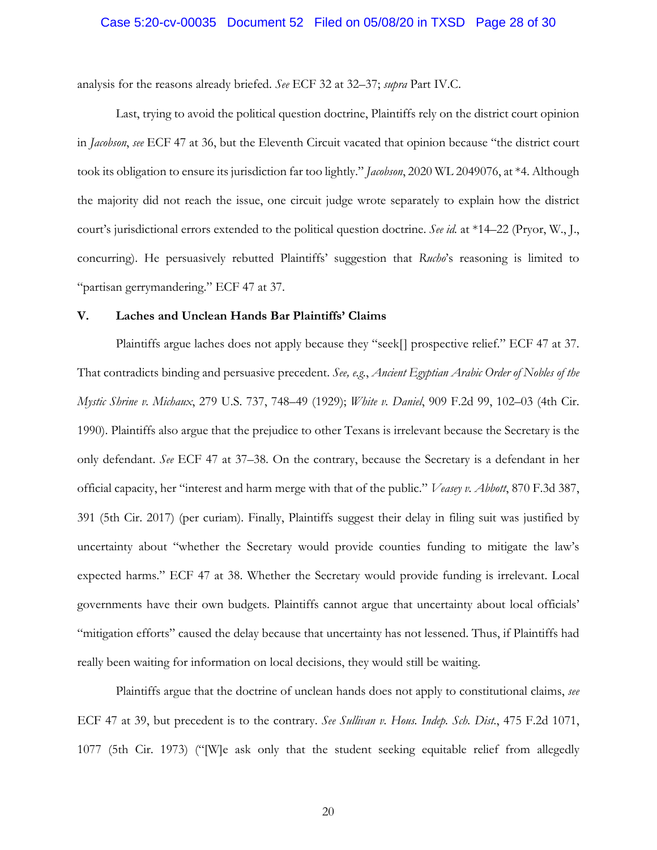#### Case 5:20-cv-00035 Document 52 Filed on 05/08/20 in TXSD Page 28 of 30

analysis for the reasons already briefed. *See* ECF 32 at 32–37; *supra* Part IV.C.

Last, trying to avoid the political question doctrine, Plaintiffs rely on the district court opinion in *Jacobson*, *see* ECF 47 at 36, but the Eleventh Circuit vacated that opinion because "the district court took its obligation to ensure its jurisdiction far too lightly." *Jacobson*, 2020 WL 2049076, at \*4. Although the majority did not reach the issue, one circuit judge wrote separately to explain how the district court's jurisdictional errors extended to the political question doctrine. *See id.* at \*14–22 (Pryor, W., J., concurring). He persuasively rebutted Plaintiffs' suggestion that *Rucho*'s reasoning is limited to "partisan gerrymandering." ECF 47 at 37.

#### **V. Laches and Unclean Hands Bar Plaintiffs' Claims**

Plaintiffs argue laches does not apply because they "seek[] prospective relief." ECF 47 at 37. That contradicts binding and persuasive precedent. *See, e.g.*, *Ancient Egyptian Arabic Order of Nobles of the Mystic Shrine v. Michaux*, 279 U.S. 737, 748–49 (1929); *White v. Daniel*, 909 F.2d 99, 102–03 (4th Cir. 1990). Plaintiffs also argue that the prejudice to other Texans is irrelevant because the Secretary is the only defendant. *See* ECF 47 at 37–38. On the contrary, because the Secretary is a defendant in her official capacity, her "interest and harm merge with that of the public." *Veasey v. Abbott*, 870 F.3d 387, 391 (5th Cir. 2017) (per curiam). Finally, Plaintiffs suggest their delay in filing suit was justified by uncertainty about "whether the Secretary would provide counties funding to mitigate the law's expected harms." ECF 47 at 38. Whether the Secretary would provide funding is irrelevant. Local governments have their own budgets. Plaintiffs cannot argue that uncertainty about local officials' "mitigation efforts" caused the delay because that uncertainty has not lessened. Thus, if Plaintiffs had really been waiting for information on local decisions, they would still be waiting.

Plaintiffs argue that the doctrine of unclean hands does not apply to constitutional claims, *see* ECF 47 at 39, but precedent is to the contrary. *See Sullivan v. Hous. Indep. Sch. Dist.*, 475 F.2d 1071, 1077 (5th Cir. 1973) ("[W]e ask only that the student seeking equitable relief from allegedly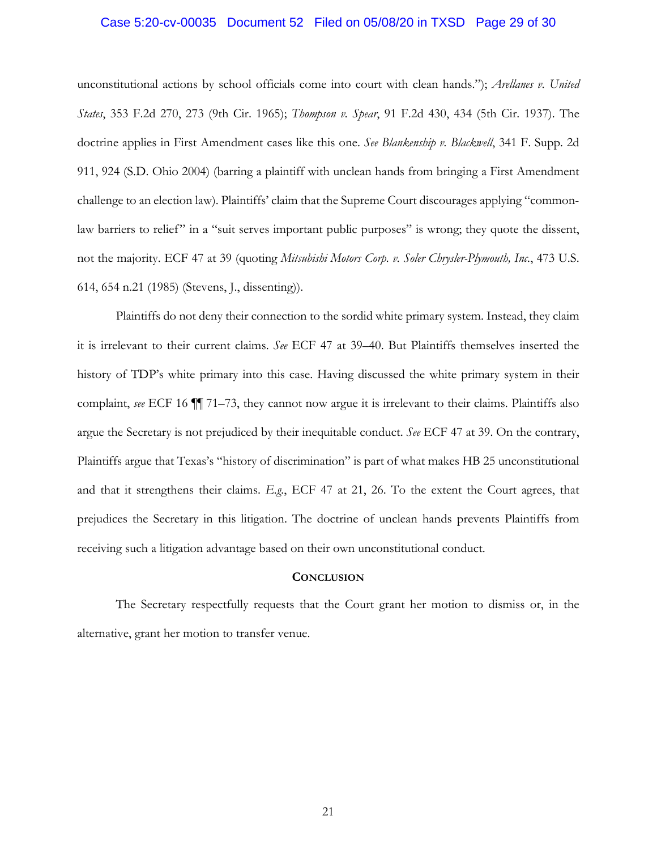#### Case 5:20-cv-00035 Document 52 Filed on 05/08/20 in TXSD Page 29 of 30

unconstitutional actions by school officials come into court with clean hands."); *Arellanes v. United States*, 353 F.2d 270, 273 (9th Cir. 1965); *Thompson v. Spear*, 91 F.2d 430, 434 (5th Cir. 1937). The doctrine applies in First Amendment cases like this one. *See Blankenship v. Blackwell*, 341 F. Supp. 2d 911, 924 (S.D. Ohio 2004) (barring a plaintiff with unclean hands from bringing a First Amendment challenge to an election law). Plaintiffs' claim that the Supreme Court discourages applying "commonlaw barriers to relief" in a "suit serves important public purposes" is wrong; they quote the dissent, not the majority. ECF 47 at 39 (quoting *Mitsubishi Motors Corp. v. Soler Chrysler-Plymouth, Inc.*, 473 U.S. 614, 654 n.21 (1985) (Stevens, J., dissenting)).

Plaintiffs do not deny their connection to the sordid white primary system. Instead, they claim it is irrelevant to their current claims. *See* ECF 47 at 39–40. But Plaintiffs themselves inserted the history of TDP's white primary into this case. Having discussed the white primary system in their complaint, *see* ECF 16 ¶¶ 71–73, they cannot now argue it is irrelevant to their claims. Plaintiffs also argue the Secretary is not prejudiced by their inequitable conduct. *See* ECF 47 at 39. On the contrary, Plaintiffs argue that Texas's "history of discrimination" is part of what makes HB 25 unconstitutional and that it strengthens their claims. *E.g.*, ECF 47 at 21, 26. To the extent the Court agrees, that prejudices the Secretary in this litigation. The doctrine of unclean hands prevents Plaintiffs from receiving such a litigation advantage based on their own unconstitutional conduct.

#### **CONCLUSION**

The Secretary respectfully requests that the Court grant her motion to dismiss or, in the alternative, grant her motion to transfer venue.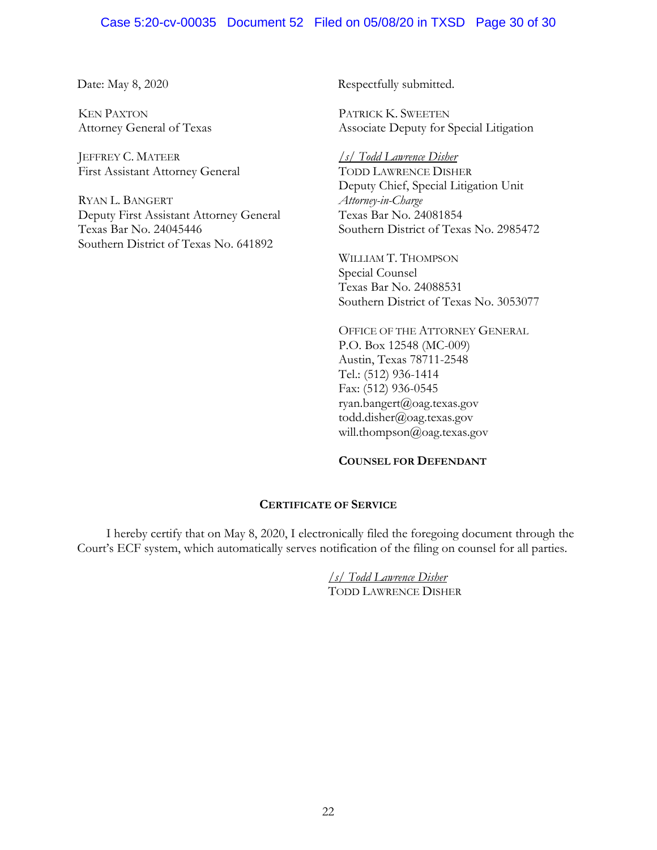#### Case 5:20-cv-00035 Document 52 Filed on 05/08/20 in TXSD Page 30 of 30

KEN PAXTON Attorney General of Texas

JEFFREY C. MATEER First Assistant Attorney General

RYAN L. BANGERT Deputy First Assistant Attorney General Texas Bar No. 24045446 Southern District of Texas No. 641892

Date: May 8, 2020 Respectfully submitted.

PATRICK K. SWEETEN Associate Deputy for Special Litigation

*/s/ Todd Lawrence Disher* TODD LAWRENCE DISHER Deputy Chief, Special Litigation Unit *Attorney-in-Charge*  Texas Bar No. 24081854 Southern District of Texas No. 2985472

WILLIAM T. THOMPSON Special Counsel Texas Bar No. 24088531 Southern District of Texas No. 3053077

OFFICE OF THE ATTORNEY GENERAL P.O. Box 12548 (MC-009) Austin, Texas 78711-2548 Tel.: (512) 936-1414 Fax: (512) 936-0545 ryan.bangert@oag.texas.gov todd.disher@oag.texas.gov will.thompson@oag.texas.gov

#### **COUNSEL FOR DEFENDANT**

#### **CERTIFICATE OF SERVICE**

I hereby certify that on May 8, 2020, I electronically filed the foregoing document through the Court's ECF system, which automatically serves notification of the filing on counsel for all parties.

> */s/ Todd Lawrence Disher*  TODD LAWRENCE DISHER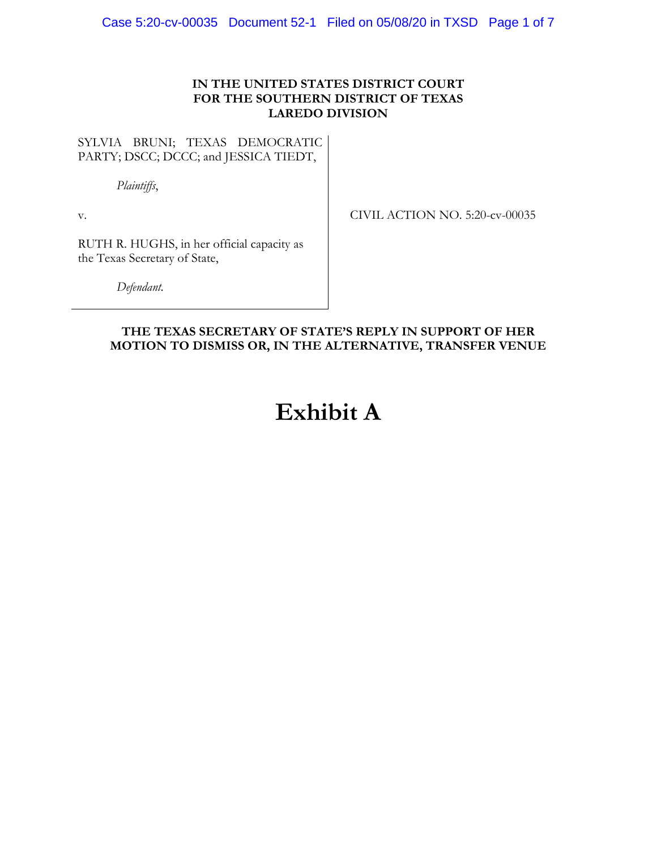#### **IN THE UNITED STATES DISTRICT COURT FOR THE SOUTHERN DISTRICT OF TEXAS LAREDO DIVISION**

SYLVIA BRUNI; TEXAS DEMOCRATIC PARTY; DSCC; DCCC; and JESSICA TIEDT,

*Plaintiffs*,

v.

CIVIL ACTION NO. 5:20-cv-00035

RUTH R. HUGHS, in her official capacity as the Texas Secretary of State,

*Defendant.*

### **THE TEXAS SECRETARY OF STATE'S REPLY IN SUPPORT OF HER MOTION TO DISMISS OR, IN THE ALTERNATIVE, TRANSFER VENUE**

# **Exhibit A**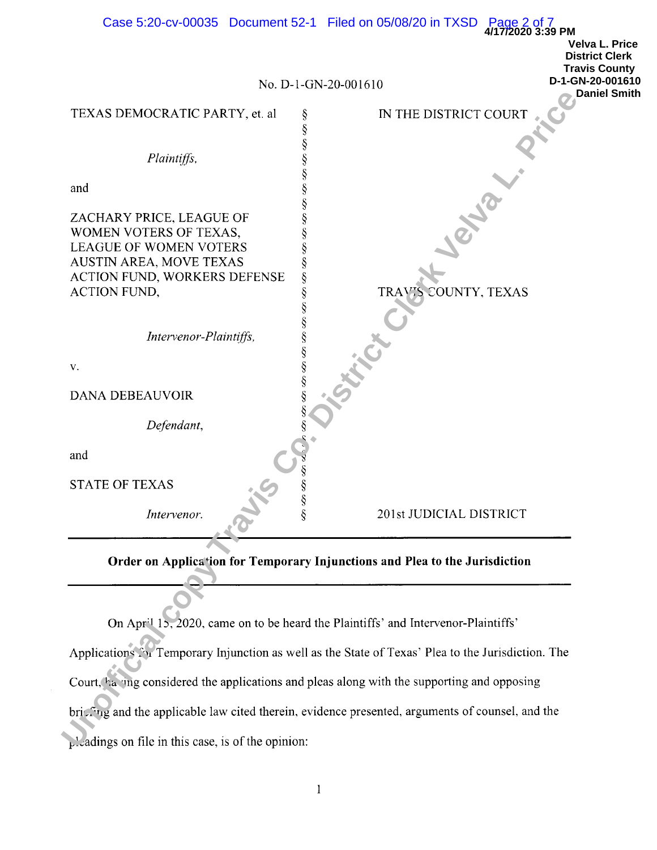| Case 5:20-cv-00035 Document 52-1 Filed on 05/08/20 in TXSD Page 2 of 7<br>4/17/2020 3:39 PM       |        |                         |                                                |  |
|---------------------------------------------------------------------------------------------------|--------|-------------------------|------------------------------------------------|--|
|                                                                                                   |        |                         | <b>Velva L. Price</b><br><b>District Clerk</b> |  |
|                                                                                                   |        |                         | <b>Travis County</b>                           |  |
|                                                                                                   |        | No. D-1-GN-20-001610    | D-1-GN-20-001610<br><b>Daniel Smith</b>        |  |
| TEXAS DEMOCRATIC PARTY, et. al                                                                    | ş      | IN THE DISTRICT COURT   |                                                |  |
|                                                                                                   | §<br>§ |                         |                                                |  |
| Plaintiffs,                                                                                       |        |                         |                                                |  |
|                                                                                                   | §      |                         |                                                |  |
| and                                                                                               | §      |                         |                                                |  |
| ZACHARY PRICE, LEAGUE OF                                                                          | §      |                         |                                                |  |
| WOMEN VOTERS OF TEXAS,                                                                            | §      |                         |                                                |  |
| <b>LEAGUE OF WOMEN VOTERS</b>                                                                     |        |                         |                                                |  |
| <b>AUSTIN AREA, MOVE TEXAS</b><br>ACTION FUND, WORKERS DEFENSE                                    | §<br>ş |                         |                                                |  |
| <b>ACTION FUND,</b>                                                                               | §      | COUNTY, TEXAS<br>TRAV'S |                                                |  |
|                                                                                                   | §      |                         |                                                |  |
| Intervenor-Plaintiffs,                                                                            |        |                         |                                                |  |
|                                                                                                   |        |                         |                                                |  |
| V.                                                                                                | §      |                         |                                                |  |
| DANA DEBEAUVOIR                                                                                   | §      |                         |                                                |  |
| Defendant,                                                                                        |        |                         |                                                |  |
| and                                                                                               |        |                         |                                                |  |
| <b>STATE OF TEXAS</b>                                                                             | Ş      |                         |                                                |  |
| Intervenor.                                                                                       | ş      | 201st JUDICIAL DISTRICT |                                                |  |
|                                                                                                   |        |                         |                                                |  |
| Order on Application for Temporary Injunctions and Plea to the Jurisdiction                       |        |                         |                                                |  |
|                                                                                                   |        |                         |                                                |  |
| On April 15, 2020, came on to be heard the Plaintiffs' and Intervenor-Plaintiffs'                 |        |                         |                                                |  |
| Applications S. Temporary Injunction as well as the State of Texas' Plea to the Jurisdiction. The |        |                         |                                                |  |
| Court, having considered the applications and pleas along with the supporting and opposing        |        |                         |                                                |  |
| bricfing and the applicable law cited therein, evidence presented, arguments of counsel, and the  |        |                         |                                                |  |
| $\mathcal{L}$ Ladings on file in this case, is of the opinion:                                    |        |                         |                                                |  |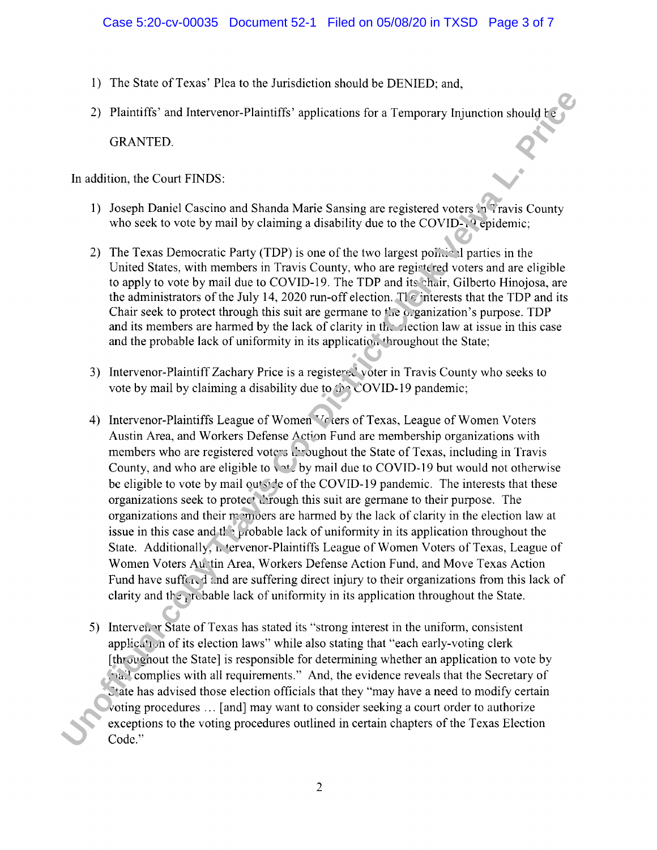- 1) The State of Texas' Plea to the Jurisdiction should be DENIED; and,
- 

- 
- 
- 
- 2) Plaintiffs' and Italevence-Plaintiffs' applications for a Comporary Injunction should by<br>
United Contribute Contributed Casetino and Shanda Marie Sansing are registered vetors <sup>o</sup> Stavis County<br>
1) Joseph Daniel Caseti
	-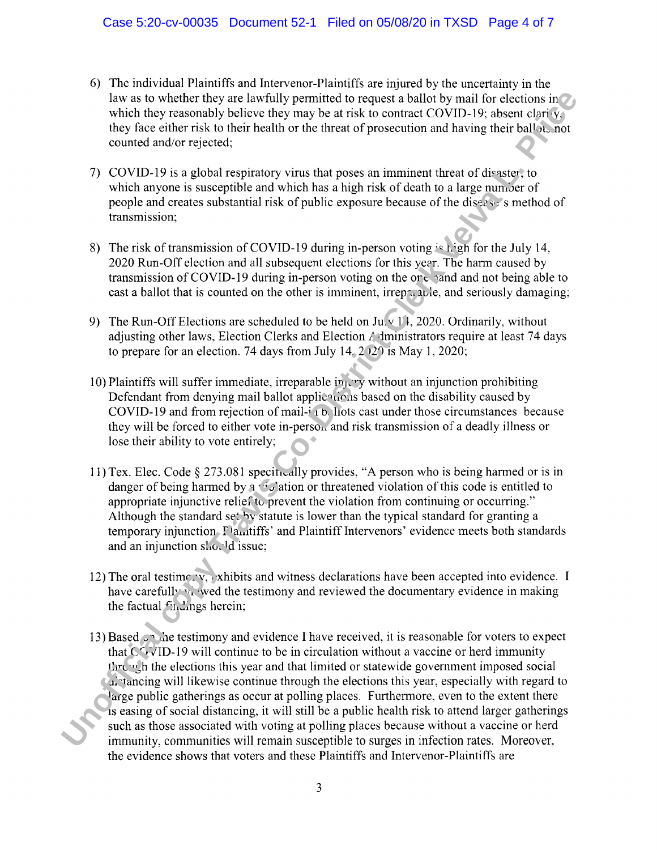- 6) The individual Plaintiffs and Intervenor-Plaintiffs are injured by the uncertainty in the
- 
- 
- 
- 
- 
- 
- It we are twisteder they are law with permitted to request a bolic by pair of the column in the control of the control of the phase counted and wish the phase of the theorem is the phase counted and write-text,<br>
TO COVID-1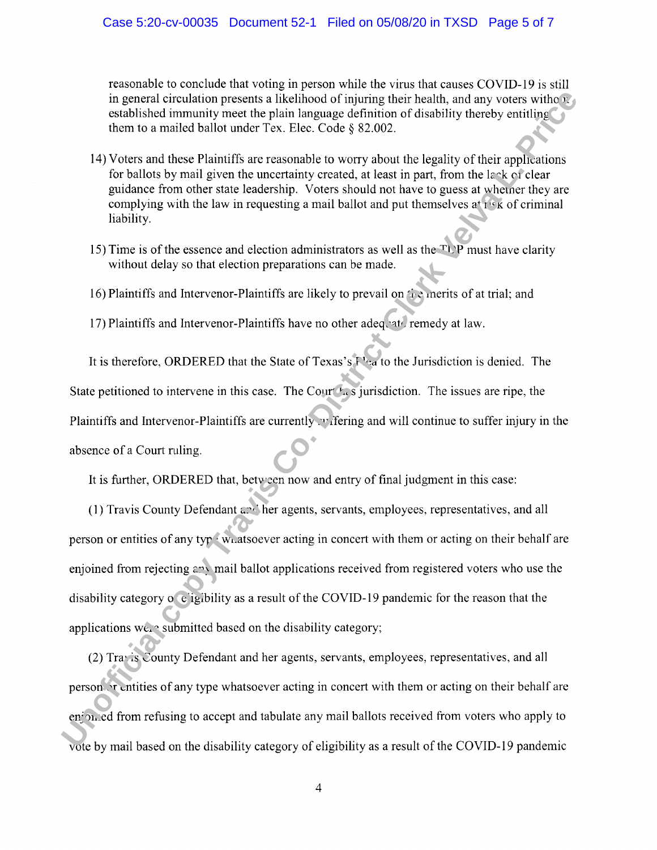reasonable to conclude that voting in person while the virus that causes COVID-19 is still

- 
- 
- 
- 

in general circulation presents a likelihood triming their health, and my vortat with the system with the system of the branching the system of a matical ballet under Tex. Hec. Code § 82.002.<br>
14) Vorts and these Platinity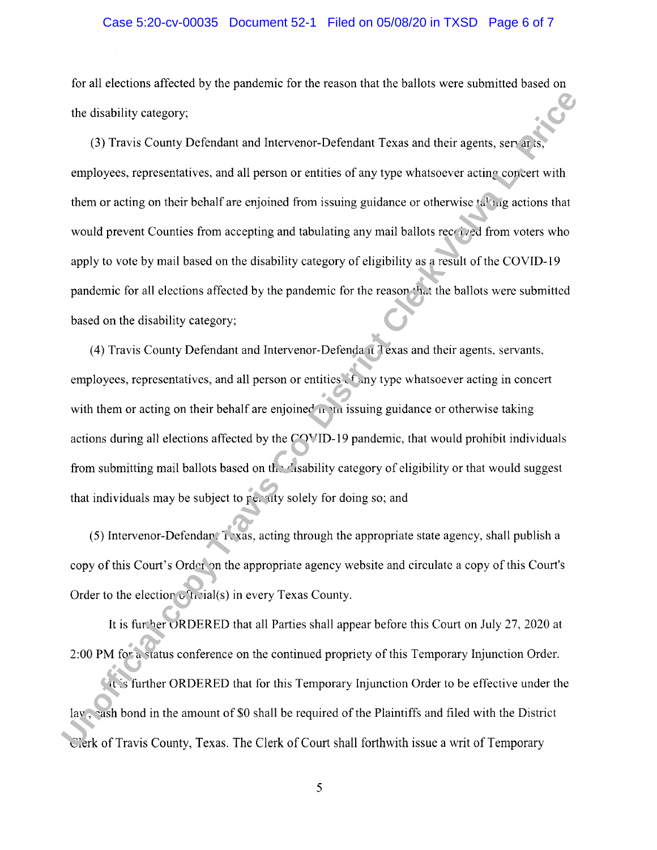#### Case 5:20-cv-00035 Document 52-1 Filed on 05/08/20 in TXSD Page 6 of 7

for all elections affected by the pandemic for the reason that the ballots were submitted based on

the disabitity encegary;<br>
(3) Pravis County Defendant and Intervener-Defendant Texas and their agents, serective<br>
employees, representatives, and all person or entities of any type whatseover acting conject with<br>
them or a